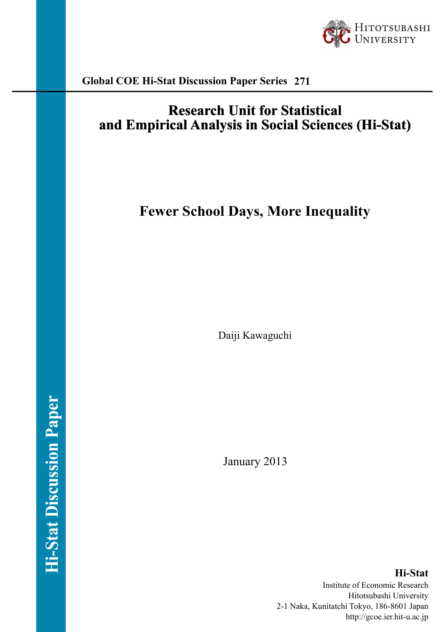

**Global COE Hi-Stat Discussion Paper Series 271**

## **Research Unit for Statistical** and Empirical Analysis in Social Sciences (Hi-Stat)

# **Fewer School Days, More Inequality**

Daiji Kawaguchi

January 2013

**Hi-Stat** Institute of Economic Research Hitotsubashi University 2-1 Naka, Kunitatchi Tokyo, 186-8601 Japan http://gcoe.ier.hit-u.ac.jp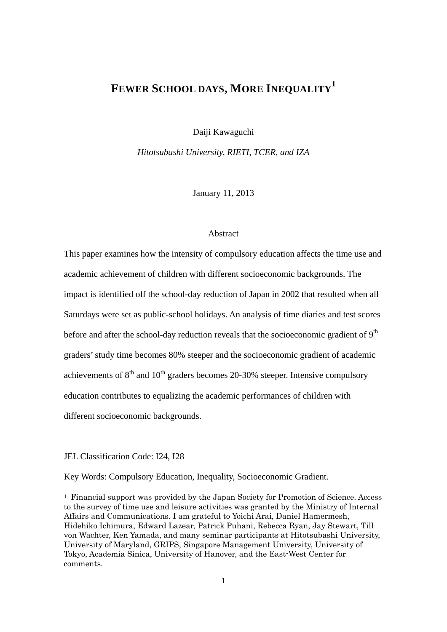## **FEWER SCHOOL DAYS, MORE INEQUALITY<sup>1</sup>**

Daiji Kawaguchi

*Hitotsubashi University, RIETI, TCER, and IZA* 

January 11, 2013

#### Abstract

This paper examines how the intensity of compulsory education affects the time use and academic achievement of children with different socioeconomic backgrounds. The impact is identified off the school-day reduction of Japan in 2002 that resulted when all Saturdays were set as public-school holidays. An analysis of time diaries and test scores before and after the school-day reduction reveals that the socioeconomic gradient of  $9<sup>th</sup>$ graders' study time becomes 80% steeper and the socioeconomic gradient of academic achievements of  $8<sup>th</sup>$  and  $10<sup>th</sup>$  graders becomes 20-30% steeper. Intensive compulsory education contributes to equalizing the academic performances of children with different socioeconomic backgrounds.

JEL Classification Code: I24, I28

-

Key Words: Compulsory Education, Inequality, Socioeconomic Gradient.

<sup>1</sup> Financial support was provided by the Japan Society for Promotion of Science. Access to the survey of time use and leisure activities was granted by the Ministry of Internal Affairs and Communications. I am grateful to Yoichi Arai, Daniel Hamermesh, Hidehiko Ichimura, Edward Lazear, Patrick Puhani, Rebecca Ryan, Jay Stewart, Till von Wachter, Ken Yamada, and many seminar participants at Hitotsubashi University, University of Maryland, GRIPS, Singapore Management University, University of Tokyo, Academia Sinica, University of Hanover, and the East-West Center for comments.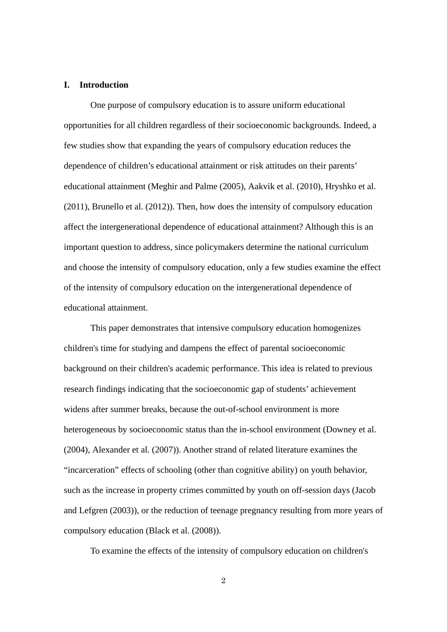#### **I. Introduction**

One purpose of compulsory education is to assure uniform educational opportunities for all children regardless of their socioeconomic backgrounds. Indeed, a few studies show that expanding the years of compulsory education reduces the dependence of children's educational attainment or risk attitudes on their parents' educational attainment (Meghir and Palme (2005), Aakvik et al. (2010), Hryshko et al. (2011), Brunello et al. (2012)). Then, how does the intensity of compulsory education affect the intergenerational dependence of educational attainment? Although this is an important question to address, since policymakers determine the national curriculum and choose the intensity of compulsory education, only a few studies examine the effect of the intensity of compulsory education on the intergenerational dependence of educational attainment.

This paper demonstrates that intensive compulsory education homogenizes children's time for studying and dampens the effect of parental socioeconomic background on their children's academic performance. This idea is related to previous research findings indicating that the socioeconomic gap of students' achievement widens after summer breaks, because the out-of-school environment is more heterogeneous by socioeconomic status than the in-school environment (Downey et al. (2004), Alexander et al. (2007)). Another strand of related literature examines the "incarceration" effects of schooling (other than cognitive ability) on youth behavior, such as the increase in property crimes committed by youth on off-session days (Jacob and Lefgren (2003)), or the reduction of teenage pregnancy resulting from more years of compulsory education (Black et al. (2008)).

To examine the effects of the intensity of compulsory education on children's

2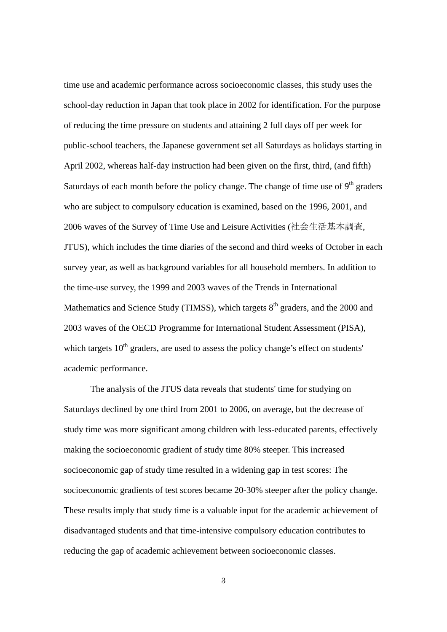time use and academic performance across socioeconomic classes, this study uses the school-day reduction in Japan that took place in 2002 for identification. For the purpose of reducing the time pressure on students and attaining 2 full days off per week for public-school teachers, the Japanese government set all Saturdays as holidays starting in April 2002, whereas half-day instruction had been given on the first, third, (and fifth) Saturdays of each month before the policy change. The change of time use of  $9<sup>th</sup>$  graders who are subject to compulsory education is examined, based on the 1996, 2001, and 2006 waves of the Survey of Time Use and Leisure Activities (社会生活基本調査, JTUS), which includes the time diaries of the second and third weeks of October in each survey year, as well as background variables for all household members. In addition to the time-use survey, the 1999 and 2003 waves of the Trends in International Mathematics and Science Study (TIMSS), which targets 8<sup>th</sup> graders, and the 2000 and 2003 waves of the OECD Programme for International Student Assessment (PISA), which targets  $10<sup>th</sup>$  graders, are used to assess the policy change's effect on students' academic performance.

The analysis of the JTUS data reveals that students' time for studying on Saturdays declined by one third from 2001 to 2006, on average, but the decrease of study time was more significant among children with less-educated parents, effectively making the socioeconomic gradient of study time 80% steeper. This increased socioeconomic gap of study time resulted in a widening gap in test scores: The socioeconomic gradients of test scores became 20-30% steeper after the policy change. These results imply that study time is a valuable input for the academic achievement of disadvantaged students and that time-intensive compulsory education contributes to reducing the gap of academic achievement between socioeconomic classes.

3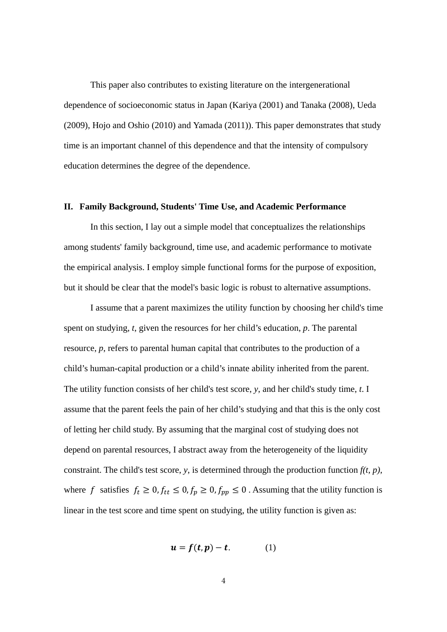This paper also contributes to existing literature on the intergenerational dependence of socioeconomic status in Japan (Kariya (2001) and Tanaka (2008), Ueda (2009), Hojo and Oshio (2010) and Yamada (2011)). This paper demonstrates that study time is an important channel of this dependence and that the intensity of compulsory education determines the degree of the dependence.

#### **II. Family Background, Students' Time Use, and Academic Performance**

In this section, I lay out a simple model that conceptualizes the relationships among students' family background, time use, and academic performance to motivate the empirical analysis. I employ simple functional forms for the purpose of exposition, but it should be clear that the model's basic logic is robust to alternative assumptions.

I assume that a parent maximizes the utility function by choosing her child's time spent on studying, *t*, given the resources for her child's education, *p*. The parental resource, *p*, refers to parental human capital that contributes to the production of a child's human-capital production or a child's innate ability inherited from the parent. The utility function consists of her child's test score, *y*, and her child's study time, *t*. I assume that the parent feels the pain of her child's studying and that this is the only cost of letting her child study. By assuming that the marginal cost of studying does not depend on parental resources, I abstract away from the heterogeneity of the liquidity constraint. The child's test score, *y*, is determined through the production function  $f(t, p)$ , where f satisfies  $f_t \ge 0$ ,  $f_{tt} \le 0$ ,  $f_p \ge 0$ ,  $f_{pp} \le 0$ . Assuming that the utility function is linear in the test score and time spent on studying, the utility function is given as:

$$
u = f(t, p) - t. \tag{1}
$$

$$
4\,
$$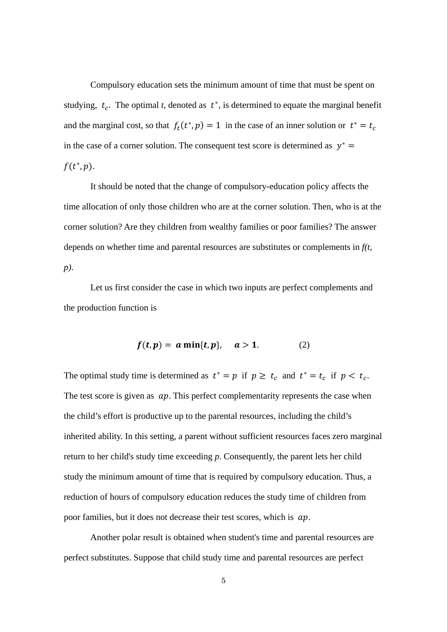Compulsory education sets the minimum amount of time that must be spent on studying,  $t_c$ . The optimal *t*, denoted as  $t^*$ , is determined to equate the marginal benefit and the marginal cost, so that  $f_t(t^*, p) = 1$  in the case of an inner solution or  $t^* = t_c$ in the case of a corner solution. The consequent test score is determined as  $y^* =$  $f(t^*, p)$ .

It should be noted that the change of compulsory-education policy affects the time allocation of only those children who are at the corner solution. Then, who is at the corner solution? Are they children from wealthy families or poor families? The answer depends on whether time and parental resources are substitutes or complements in *f(t, p)*.

Let us first consider the case in which two inputs are perfect complements and the production function is

$$
f(t,p) = a \min\{t,p\}, \quad a > 1. \tag{2}
$$

The optimal study time is determined as  $t^* = p$  if  $p \ge t_c$  and  $t^* = t_c$  if  $p < t_c$ . The test score is given as  $ap$ . This perfect complementarity represents the case when the child's effort is productive up to the parental resources, including the child's inherited ability. In this setting, a parent without sufficient resources faces zero marginal return to her child's study time exceeding *p*. Consequently, the parent lets her child study the minimum amount of time that is required by compulsory education. Thus, a reduction of hours of compulsory education reduces the study time of children from poor families, but it does not decrease their test scores, which is  $ap$ .

Another polar result is obtained when student's time and parental resources are perfect substitutes. Suppose that child study time and parental resources are perfect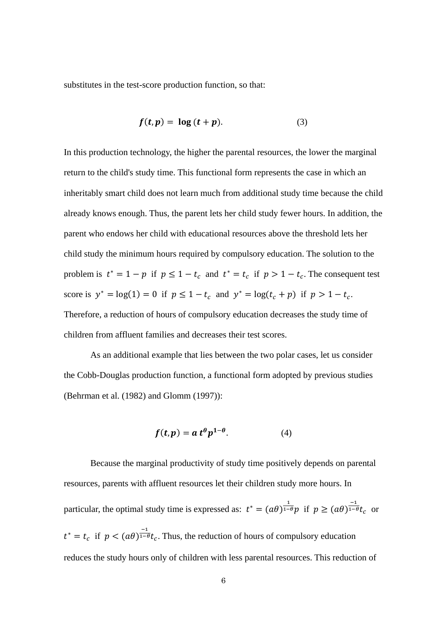substitutes in the test-score production function, so that:

$$
f(t, p) = \log (t + p). \tag{3}
$$

In this production technology, the higher the parental resources, the lower the marginal return to the child's study time. This functional form represents the case in which an inheritably smart child does not learn much from additional study time because the child already knows enough. Thus, the parent lets her child study fewer hours. In addition, the parent who endows her child with educational resources above the threshold lets her child study the minimum hours required by compulsory education. The solution to the problem is  $t^* = 1 - p$  if  $p \le 1 - t_c$  and  $t^* = t_c$  if  $p > 1 - t_c$ . The consequent test score is  $y^* = \log(1) = 0$  if  $p \le 1 - t_c$  and  $y^* = \log(t_c + p)$  if  $p > 1 - t_c$ . Therefore, a reduction of hours of compulsory education decreases the study time of children from affluent families and decreases their test scores.

As an additional example that lies between the two polar cases, let us consider the Cobb-Douglas production function, a functional form adopted by previous studies (Behrman et al. (1982) and Glomm (1997)):

$$
f(t,p) = a t^{\theta} p^{1-\theta}.
$$
 (4)

Because the marginal productivity of study time positively depends on parental resources, parents with affluent resources let their children study more hours. In particular, the optimal study time is expressed as:  $t^* = (a\theta)^{\frac{1}{1-\theta}}p$  if  $p \geq (a\theta)^{\frac{-1}{1-\theta}}t_c$  or  $t^* = t_c$  if  $p < (a\theta)^{\frac{-1}{1-\theta}}t_c$ . Thus, the reduction of hours of compulsory education reduces the study hours only of children with less parental resources. This reduction of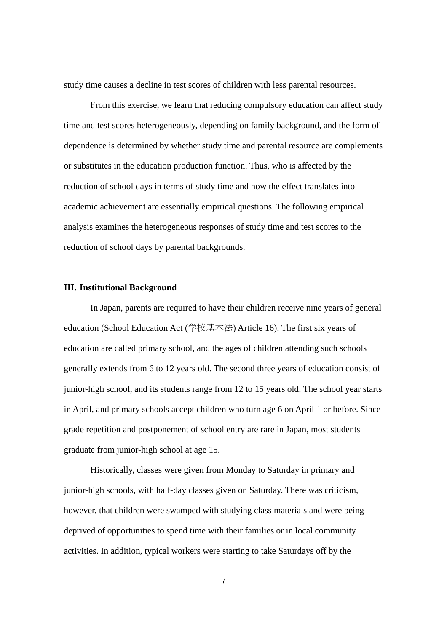study time causes a decline in test scores of children with less parental resources.

From this exercise, we learn that reducing compulsory education can affect study time and test scores heterogeneously, depending on family background, and the form of dependence is determined by whether study time and parental resource are complements or substitutes in the education production function. Thus, who is affected by the reduction of school days in terms of study time and how the effect translates into academic achievement are essentially empirical questions. The following empirical analysis examines the heterogeneous responses of study time and test scores to the reduction of school days by parental backgrounds.

#### **III. Institutional Background**

In Japan, parents are required to have their children receive nine years of general education (School Education Act (学校基本法) Article 16). The first six years of education are called primary school, and the ages of children attending such schools generally extends from 6 to 12 years old. The second three years of education consist of junior-high school, and its students range from 12 to 15 years old. The school year starts in April, and primary schools accept children who turn age 6 on April 1 or before. Since grade repetition and postponement of school entry are rare in Japan, most students graduate from junior-high school at age 15.

Historically, classes were given from Monday to Saturday in primary and junior-high schools, with half-day classes given on Saturday. There was criticism, however, that children were swamped with studying class materials and were being deprived of opportunities to spend time with their families or in local community activities. In addition, typical workers were starting to take Saturdays off by the

7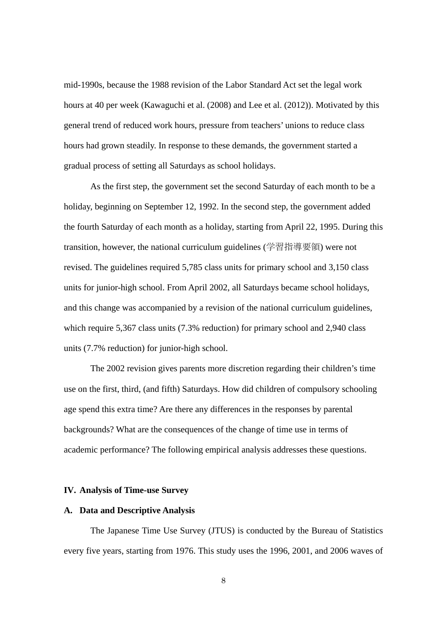mid-1990s, because the 1988 revision of the Labor Standard Act set the legal work hours at 40 per week (Kawaguchi et al. (2008) and Lee et al. (2012)). Motivated by this general trend of reduced work hours, pressure from teachers' unions to reduce class hours had grown steadily. In response to these demands, the government started a gradual process of setting all Saturdays as school holidays.

As the first step, the government set the second Saturday of each month to be a holiday, beginning on September 12, 1992. In the second step, the government added the fourth Saturday of each month as a holiday, starting from April 22, 1995. During this transition, however, the national curriculum guidelines (学習指導要領) were not revised. The guidelines required 5,785 class units for primary school and 3,150 class units for junior-high school. From April 2002, all Saturdays became school holidays, and this change was accompanied by a revision of the national curriculum guidelines, which require 5,367 class units (7.3% reduction) for primary school and 2,940 class units (7.7% reduction) for junior-high school.

The 2002 revision gives parents more discretion regarding their children's time use on the first, third, (and fifth) Saturdays. How did children of compulsory schooling age spend this extra time? Are there any differences in the responses by parental backgrounds? What are the consequences of the change of time use in terms of academic performance? The following empirical analysis addresses these questions.

#### **IV. Analysis of Time-use Survey**

#### **A. Data and Descriptive Analysis**

The Japanese Time Use Survey (JTUS) is conducted by the Bureau of Statistics every five years, starting from 1976. This study uses the 1996, 2001, and 2006 waves of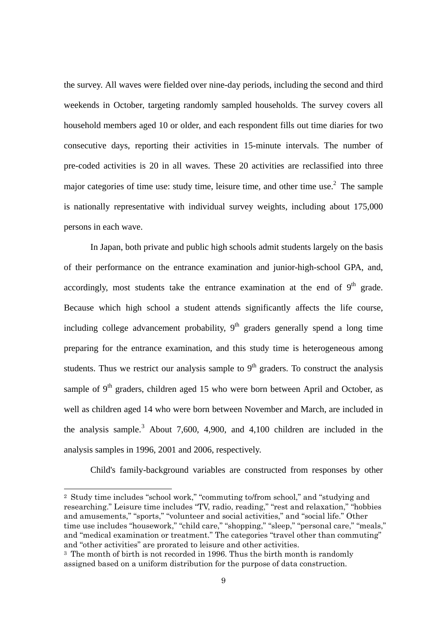the survey. All waves were fielded over nine-day periods, including the second and third weekends in October, targeting randomly sampled households. The survey covers all household members aged 10 or older, and each respondent fills out time diaries for two consecutive days, reporting their activities in 15-minute intervals. The number of pre-coded activities is 20 in all waves. These 20 activities are reclassified into three major categories of time use: study time, leisure time, and other time use.<sup>2</sup> The sample is nationally representative with individual survey weights, including about 175,000 persons in each wave.

In Japan, both private and public high schools admit students largely on the basis of their performance on the entrance examination and junior-high-school GPA, and, accordingly, most students take the entrance examination at the end of  $9<sup>th</sup>$  grade. Because which high school a student attends significantly affects the life course, including college advancement probability,  $9<sup>th</sup>$  graders generally spend a long time preparing for the entrance examination, and this study time is heterogeneous among students. Thus we restrict our analysis sample to  $9<sup>th</sup>$  graders. To construct the analysis sample of  $9<sup>th</sup>$  graders, children aged 15 who were born between April and October, as well as children aged 14 who were born between November and March, are included in the analysis sample.<sup>3</sup> About 7,600, 4,900, and 4,100 children are included in the analysis samples in 1996, 2001 and 2006, respectively.

Child's family-background variables are constructed from responses by other

2 Study time includes "school work," "commuting to/from school," and "studying and researching." Leisure time includes "TV, radio, reading," "rest and relaxation," "hobbies and amusements," "sports," "volunteer and social activities," and "social life." Other time use includes "housework," "child care," "shopping," "sleep," "personal care," "meals," and "medical examination or treatment." The categories "travel other than commuting" and "other activities" are prorated to leisure and other activities.

-

<sup>&</sup>lt;sup>3</sup> The month of birth is not recorded in 1996. Thus the birth month is randomly assigned based on a uniform distribution for the purpose of data construction.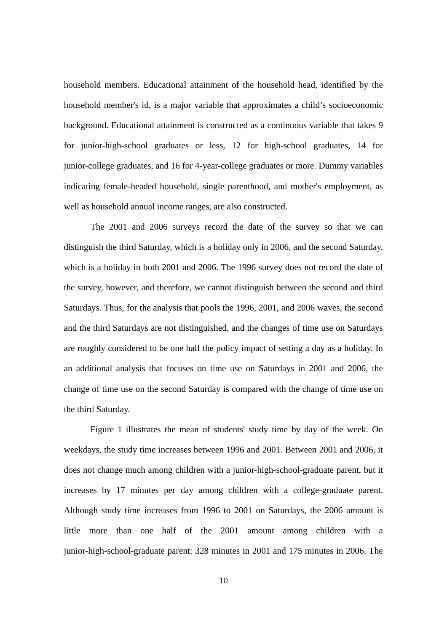household members. Educational attainment of the household head, identified by the household member's id, is a major variable that approximates a child's socioeconomic background. Educational attainment is constructed as a continuous variable that takes 9 for junior-high-school graduates or less, 12 for high-school graduates, 14 for junior-college graduates, and 16 for 4-year-college graduates or more. Dummy variables indicating female-headed household, single parenthood, and mother's employment, as well as household annual income ranges, are also constructed.

The 2001 and 2006 surveys record the date of the survey so that we can distinguish the third Saturday, which is a holiday only in 2006, and the second Saturday, which is a holiday in both 2001 and 2006. The 1996 survey does not record the date of the survey, however, and therefore, we cannot distinguish between the second and third Saturdays. Thus, for the analysis that pools the 1996, 2001, and 2006 waves, the second and the third Saturdays are not distinguished, and the changes of time use on Saturdays are roughly considered to be one half the policy impact of setting a day as a holiday. In an additional analysis that focuses on time use on Saturdays in 2001 and 2006, the change of time use on the second Saturday is compared with the change of time use on the third Saturday.

Figure 1 illustrates the mean of students' study time by day of the week. On weekdays, the study time increases between 1996 and 2001. Between 2001 and 2006, it does not change much among children with a junior-high-school-graduate parent, but it increases by 17 minutes per day among children with a college-graduate parent. Although study time increases from 1996 to 2001 on Saturdays, the 2006 amount is little more than one half of the 2001 amount among children with a junior-high-school-graduate parent: 328 minutes in 2001 and 175 minutes in 2006. The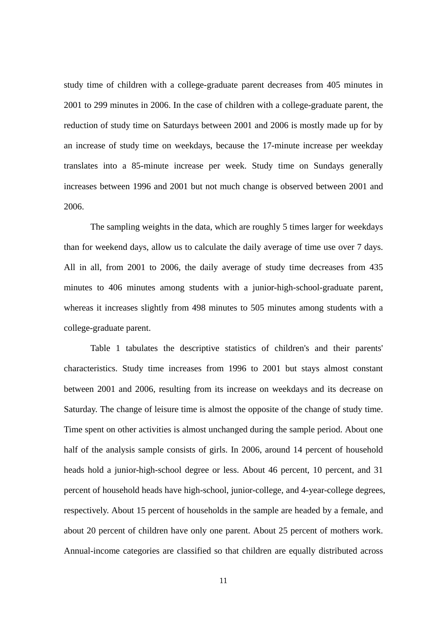study time of children with a college-graduate parent decreases from 405 minutes in 2001 to 299 minutes in 2006. In the case of children with a college-graduate parent, the reduction of study time on Saturdays between 2001 and 2006 is mostly made up for by an increase of study time on weekdays, because the 17-minute increase per weekday translates into a 85-minute increase per week. Study time on Sundays generally increases between 1996 and 2001 but not much change is observed between 2001 and 2006.

The sampling weights in the data, which are roughly 5 times larger for weekdays than for weekend days, allow us to calculate the daily average of time use over 7 days. All in all, from 2001 to 2006, the daily average of study time decreases from 435 minutes to 406 minutes among students with a junior-high-school-graduate parent, whereas it increases slightly from 498 minutes to 505 minutes among students with a college-graduate parent.

Table 1 tabulates the descriptive statistics of children's and their parents' characteristics. Study time increases from 1996 to 2001 but stays almost constant between 2001 and 2006, resulting from its increase on weekdays and its decrease on Saturday. The change of leisure time is almost the opposite of the change of study time. Time spent on other activities is almost unchanged during the sample period. About one half of the analysis sample consists of girls. In 2006, around 14 percent of household heads hold a junior-high-school degree or less. About 46 percent, 10 percent, and 31 percent of household heads have high-school, junior-college, and 4-year-college degrees, respectively. About 15 percent of households in the sample are headed by a female, and about 20 percent of children have only one parent. About 25 percent of mothers work. Annual-income categories are classified so that children are equally distributed across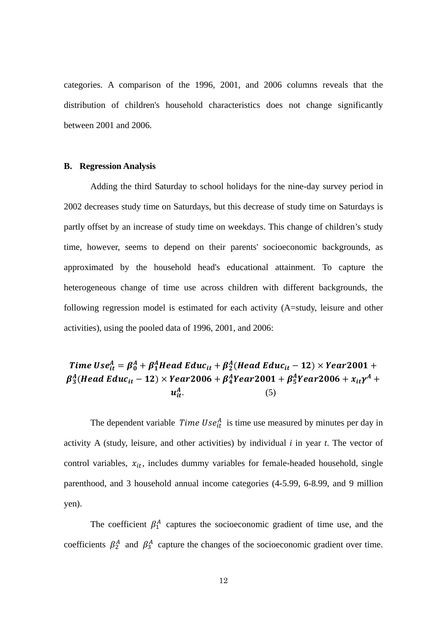categories. A comparison of the 1996, 2001, and 2006 columns reveals that the distribution of children's household characteristics does not change significantly between 2001 and 2006.

#### **B. Regression Analysis**

Adding the third Saturday to school holidays for the nine-day survey period in 2002 decreases study time on Saturdays, but this decrease of study time on Saturdays is partly offset by an increase of study time on weekdays. This change of children's study time, however, seems to depend on their parents' socioeconomic backgrounds, as approximated by the household head's educational attainment. To capture the heterogeneous change of time use across children with different backgrounds, the following regression model is estimated for each activity (A=study, leisure and other activities), using the pooled data of 1996, 2001, and 2006:

#### Time Use $_{it}^{A}=\beta_{0}^{A}+\beta_{1}^{A}$ Head Educ $_{it}+\beta_{2}^{A}$ (Head Educ $_{it}$  – 12)  $\times$  Year2001 +  $\boldsymbol{\beta}_3^A(Head\,Edu c_{it} - 12) \times Year$ 2006 +  $\boldsymbol{\beta}_4^AYe$ ar2001 +  $\boldsymbol{\beta}_5^AYe$ ar2006 +  $x_{it} \gamma^A$  +  $u^A_{ii}$  $\frac{A}{it}$ . (5)

The dependent variable *Time Use*<sup> $A$ </sup> is time use measured by minutes per day in activity A (study, leisure, and other activities) by individual *i* in year *t*. The vector of control variables,  $x_{it}$ , includes dummy variables for female-headed household, single parenthood, and 3 household annual income categories (4-5.99, 6-8.99, and 9 million yen).

The coefficient  $\beta_1^A$  captures the socioeconomic gradient of time use, and the coefficients  $\beta_2^A$  and  $\beta_3^A$  capture the changes of the socioeconomic gradient over time.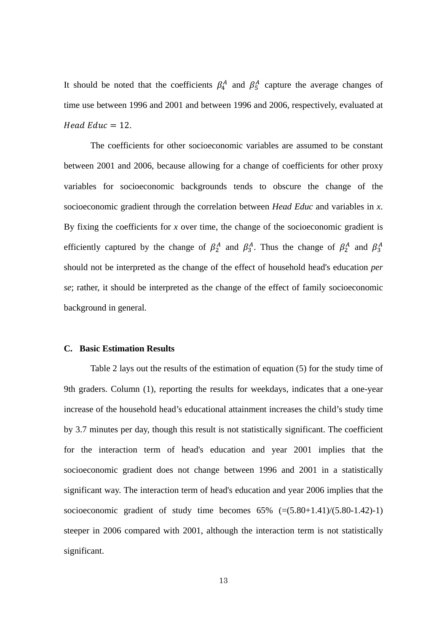It should be noted that the coefficients  $\beta_4^A$  and  $\beta_5^A$  capture the average changes of time use between 1996 and 2001 and between 1996 and 2006, respectively, evaluated at  $Head$   $Educ = 12$ .

The coefficients for other socioeconomic variables are assumed to be constant between 2001 and 2006, because allowing for a change of coefficients for other proxy variables for socioeconomic backgrounds tends to obscure the change of the socioeconomic gradient through the correlation between *Head Educ* and variables in *x*. By fixing the coefficients for  $x$  over time, the change of the socioeconomic gradient is efficiently captured by the change of  $\beta_2^A$  and  $\beta_3^A$ . Thus the change of  $\beta_2^A$  and  $\beta_3^A$ should not be interpreted as the change of the effect of household head's education *per se*; rather, it should be interpreted as the change of the effect of family socioeconomic background in general.

#### **C. Basic Estimation Results**

Table 2 lays out the results of the estimation of equation (5) for the study time of 9th graders. Column (1), reporting the results for weekdays, indicates that a one-year increase of the household head's educational attainment increases the child's study time by 3.7 minutes per day, though this result is not statistically significant. The coefficient for the interaction term of head's education and year 2001 implies that the socioeconomic gradient does not change between 1996 and 2001 in a statistically significant way. The interaction term of head's education and year 2006 implies that the socioeconomic gradient of study time becomes  $65\%$   $\left(=(5.80+1.41)/(5.80-1.42)-1\right)$ steeper in 2006 compared with 2001, although the interaction term is not statistically significant.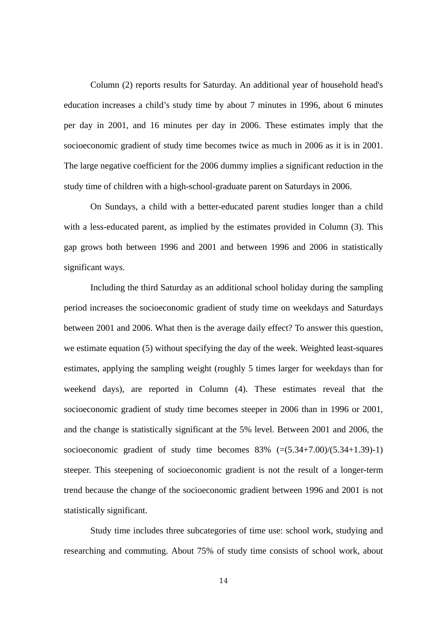Column (2) reports results for Saturday. An additional year of household head's education increases a child's study time by about 7 minutes in 1996, about 6 minutes per day in 2001, and 16 minutes per day in 2006. These estimates imply that the socioeconomic gradient of study time becomes twice as much in 2006 as it is in 2001. The large negative coefficient for the 2006 dummy implies a significant reduction in the study time of children with a high-school-graduate parent on Saturdays in 2006.

On Sundays, a child with a better-educated parent studies longer than a child with a less-educated parent, as implied by the estimates provided in Column (3). This gap grows both between 1996 and 2001 and between 1996 and 2006 in statistically significant ways.

Including the third Saturday as an additional school holiday during the sampling period increases the socioeconomic gradient of study time on weekdays and Saturdays between 2001 and 2006. What then is the average daily effect? To answer this question, we estimate equation (5) without specifying the day of the week. Weighted least-squares estimates, applying the sampling weight (roughly 5 times larger for weekdays than for weekend days), are reported in Column (4). These estimates reveal that the socioeconomic gradient of study time becomes steeper in 2006 than in 1996 or 2001, and the change is statistically significant at the 5% level. Between 2001 and 2006, the socioeconomic gradient of study time becomes  $83\%$   $(=(5.34+7.00)/(5.34+1.39)-1)$ steeper. This steepening of socioeconomic gradient is not the result of a longer-term trend because the change of the socioeconomic gradient between 1996 and 2001 is not statistically significant.

Study time includes three subcategories of time use: school work, studying and researching and commuting. About 75% of study time consists of school work, about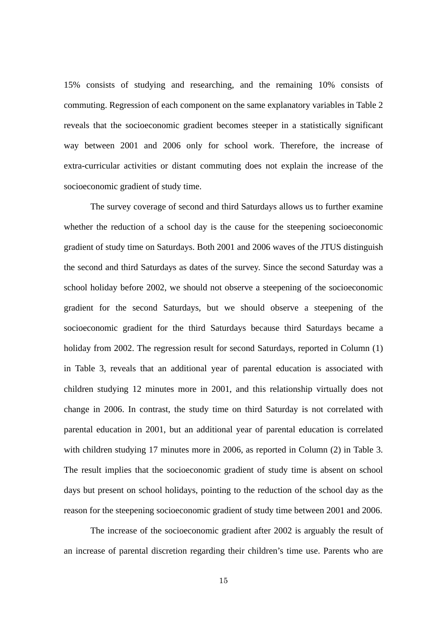15% consists of studying and researching, and the remaining 10% consists of commuting. Regression of each component on the same explanatory variables in Table 2 reveals that the socioeconomic gradient becomes steeper in a statistically significant way between 2001 and 2006 only for school work. Therefore, the increase of extra-curricular activities or distant commuting does not explain the increase of the socioeconomic gradient of study time.

The survey coverage of second and third Saturdays allows us to further examine whether the reduction of a school day is the cause for the steepening socioeconomic gradient of study time on Saturdays. Both 2001 and 2006 waves of the JTUS distinguish the second and third Saturdays as dates of the survey. Since the second Saturday was a school holiday before 2002, we should not observe a steepening of the socioeconomic gradient for the second Saturdays, but we should observe a steepening of the socioeconomic gradient for the third Saturdays because third Saturdays became a holiday from 2002. The regression result for second Saturdays, reported in Column (1) in Table 3, reveals that an additional year of parental education is associated with children studying 12 minutes more in 2001, and this relationship virtually does not change in 2006. In contrast, the study time on third Saturday is not correlated with parental education in 2001, but an additional year of parental education is correlated with children studying 17 minutes more in 2006, as reported in Column (2) in Table 3. The result implies that the socioeconomic gradient of study time is absent on school days but present on school holidays, pointing to the reduction of the school day as the reason for the steepening socioeconomic gradient of study time between 2001 and 2006.

The increase of the socioeconomic gradient after 2002 is arguably the result of an increase of parental discretion regarding their children's time use. Parents who are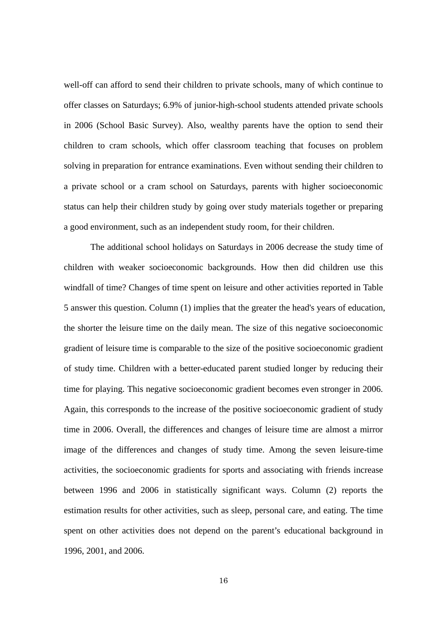well-off can afford to send their children to private schools, many of which continue to offer classes on Saturdays; 6.9% of junior-high-school students attended private schools in 2006 (School Basic Survey). Also, wealthy parents have the option to send their children to cram schools, which offer classroom teaching that focuses on problem solving in preparation for entrance examinations. Even without sending their children to a private school or a cram school on Saturdays, parents with higher socioeconomic status can help their children study by going over study materials together or preparing a good environment, such as an independent study room, for their children.

The additional school holidays on Saturdays in 2006 decrease the study time of children with weaker socioeconomic backgrounds. How then did children use this windfall of time? Changes of time spent on leisure and other activities reported in Table 5 answer this question. Column (1) implies that the greater the head's years of education, the shorter the leisure time on the daily mean. The size of this negative socioeconomic gradient of leisure time is comparable to the size of the positive socioeconomic gradient of study time. Children with a better-educated parent studied longer by reducing their time for playing. This negative socioeconomic gradient becomes even stronger in 2006. Again, this corresponds to the increase of the positive socioeconomic gradient of study time in 2006. Overall, the differences and changes of leisure time are almost a mirror image of the differences and changes of study time. Among the seven leisure-time activities, the socioeconomic gradients for sports and associating with friends increase between 1996 and 2006 in statistically significant ways. Column (2) reports the estimation results for other activities, such as sleep, personal care, and eating. The time spent on other activities does not depend on the parent's educational background in 1996, 2001, and 2006.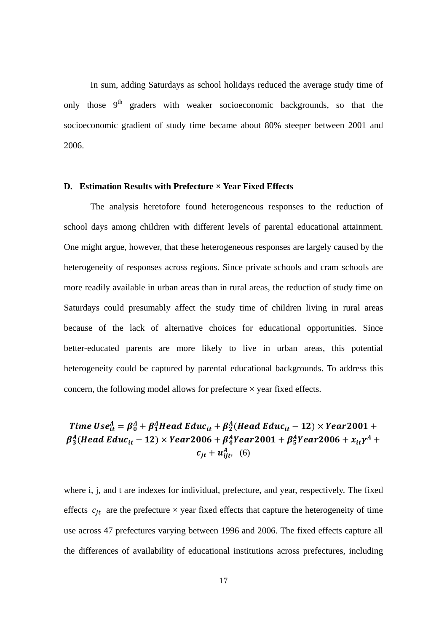In sum, adding Saturdays as school holidays reduced the average study time of only those  $9<sup>th</sup>$  graders with weaker socioeconomic backgrounds, so that the socioeconomic gradient of study time became about 80% steeper between 2001 and 2006.

#### **D. Estimation Results with Prefecture × Year Fixed Effects**

The analysis heretofore found heterogeneous responses to the reduction of school days among children with different levels of parental educational attainment. One might argue, however, that these heterogeneous responses are largely caused by the heterogeneity of responses across regions. Since private schools and cram schools are more readily available in urban areas than in rural areas, the reduction of study time on Saturdays could presumably affect the study time of children living in rural areas because of the lack of alternative choices for educational opportunities. Since better-educated parents are more likely to live in urban areas, this potential heterogeneity could be captured by parental educational backgrounds. To address this concern, the following model allows for prefecture  $\times$  year fixed effects.

## Time Use $_{it}^{A}=\beta_{0}^{A}+\beta_{1}^{A}$ Head Educ $_{it}+\beta_{2}^{A}$ (Head Educ $_{it}$  – 12)  $\times$  Year2001 +  $\boldsymbol{\beta}_3^A(Head\,Edu c_{it} - 12) \times Year$ 2006 +  $\boldsymbol{\beta}_4^AYe$ ar2001 +  $\boldsymbol{\beta}_5^AYe$ ar2006 +  $x_{it} \gamma^A$  +  $c_{jt} + u_{ijt}^A$ , (6)

where i, j, and t are indexes for individual, prefecture, and year, respectively. The fixed effects  $c_{jt}$  are the prefecture  $\times$  year fixed effects that capture the heterogeneity of time use across 47 prefectures varying between 1996 and 2006. The fixed effects capture all the differences of availability of educational institutions across prefectures, including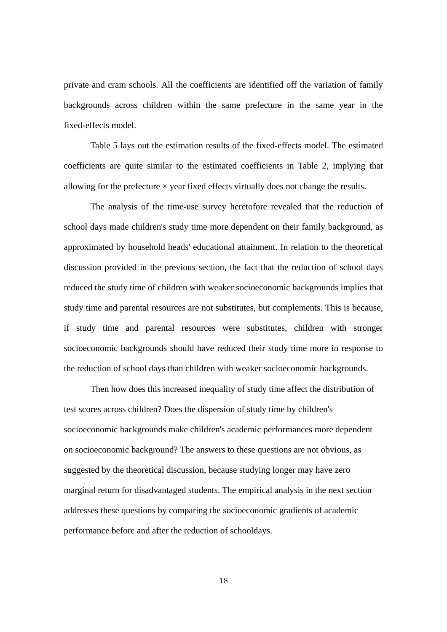private and cram schools. All the coefficients are identified off the variation of family backgrounds across children within the same prefecture in the same year in the fixed-effects model.

Table 5 lays out the estimation results of the fixed-effects model. The estimated coefficients are quite similar to the estimated coefficients in Table 2, implying that allowing for the prefecture  $\times$  year fixed effects virtually does not change the results.

The analysis of the time-use survey heretofore revealed that the reduction of school days made children's study time more dependent on their family background, as approximated by household heads' educational attainment. In relation to the theoretical discussion provided in the previous section, the fact that the reduction of school days reduced the study time of children with weaker socioeconomic backgrounds implies that study time and parental resources are not substitutes, but complements. This is because, if study time and parental resources were substitutes, children with stronger socioeconomic backgrounds should have reduced their study time more in response to the reduction of school days than children with weaker socioeconomic backgrounds.

Then how does this increased inequality of study time affect the distribution of test scores across children? Does the dispersion of study time by children's socioeconomic backgrounds make children's academic performances more dependent on socioeconomic background? The answers to these questions are not obvious, as suggested by the theoretical discussion, because studying longer may have zero marginal return for disadvantaged students. The empirical analysis in the next section addresses these questions by comparing the socioeconomic gradients of academic performance before and after the reduction of schooldays.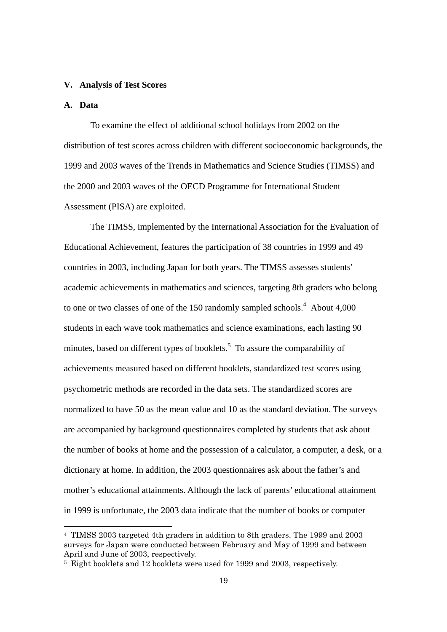#### **V. Analysis of Test Scores**

#### **A. Data**

-

To examine the effect of additional school holidays from 2002 on the distribution of test scores across children with different socioeconomic backgrounds, the 1999 and 2003 waves of the Trends in Mathematics and Science Studies (TIMSS) and the 2000 and 2003 waves of the OECD Programme for International Student Assessment (PISA) are exploited.

The TIMSS, implemented by the International Association for the Evaluation of Educational Achievement, features the participation of 38 countries in 1999 and 49 countries in 2003, including Japan for both years. The TIMSS assesses students' academic achievements in mathematics and sciences, targeting 8th graders who belong to one or two classes of one of the 150 randomly sampled schools.<sup>4</sup> About 4,000 students in each wave took mathematics and science examinations, each lasting 90 minutes, based on different types of booklets.<sup>5</sup> To assure the comparability of achievements measured based on different booklets, standardized test scores using psychometric methods are recorded in the data sets. The standardized scores are normalized to have 50 as the mean value and 10 as the standard deviation. The surveys are accompanied by background questionnaires completed by students that ask about the number of books at home and the possession of a calculator, a computer, a desk, or a dictionary at home. In addition, the 2003 questionnaires ask about the father's and mother's educational attainments. Although the lack of parents' educational attainment in 1999 is unfortunate, the 2003 data indicate that the number of books or computer

<sup>4</sup> TIMSS 2003 targeted 4th graders in addition to 8th graders. The 1999 and 2003 surveys for Japan were conducted between February and May of 1999 and between April and June of 2003, respectively.

<sup>&</sup>lt;sup>5</sup> Eight booklets and 12 booklets were used for 1999 and 2003, respectively.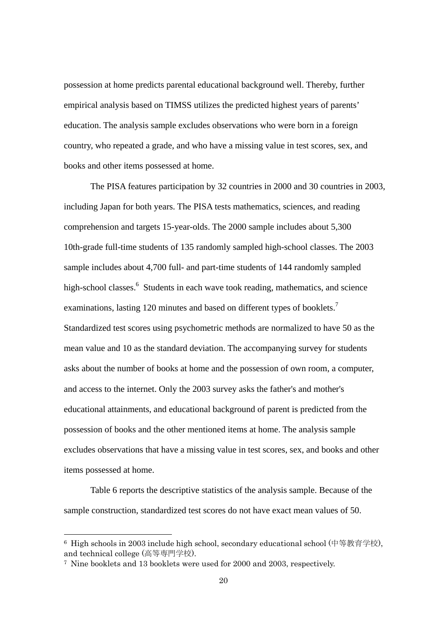possession at home predicts parental educational background well. Thereby, further empirical analysis based on TIMSS utilizes the predicted highest years of parents' education. The analysis sample excludes observations who were born in a foreign country, who repeated a grade, and who have a missing value in test scores, sex, and books and other items possessed at home.

The PISA features participation by 32 countries in 2000 and 30 countries in 2003, including Japan for both years. The PISA tests mathematics, sciences, and reading comprehension and targets 15-year-olds. The 2000 sample includes about 5,300 10th-grade full-time students of 135 randomly sampled high-school classes. The 2003 sample includes about 4,700 full- and part-time students of 144 randomly sampled high-school classes.<sup>6</sup> Students in each wave took reading, mathematics, and science examinations, lasting 120 minutes and based on different types of booklets.<sup>7</sup> Standardized test scores using psychometric methods are normalized to have 50 as the mean value and 10 as the standard deviation. The accompanying survey for students asks about the number of books at home and the possession of own room, a computer, and access to the internet. Only the 2003 survey asks the father's and mother's educational attainments, and educational background of parent is predicted from the possession of books and the other mentioned items at home. The analysis sample excludes observations that have a missing value in test scores, sex, and books and other items possessed at home.

Table 6 reports the descriptive statistics of the analysis sample. Because of the sample construction, standardized test scores do not have exact mean values of 50.

-

<sup>6</sup> High schools in 2003 include high school, secondary educational school (中等教育学校), and technical college (高等専門学校).

<sup>7</sup> Nine booklets and 13 booklets were used for 2000 and 2003, respectively.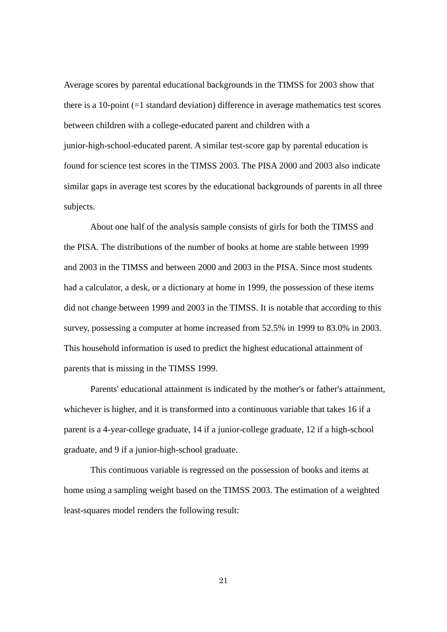Average scores by parental educational backgrounds in the TIMSS for 2003 show that there is a 10-point (=1 standard deviation) difference in average mathematics test scores between children with a college-educated parent and children with a junior-high-school-educated parent. A similar test-score gap by parental education is found for science test scores in the TIMSS 2003. The PISA 2000 and 2003 also indicate similar gaps in average test scores by the educational backgrounds of parents in all three subjects.

About one half of the analysis sample consists of girls for both the TIMSS and the PISA. The distributions of the number of books at home are stable between 1999 and 2003 in the TIMSS and between 2000 and 2003 in the PISA. Since most students had a calculator, a desk, or a dictionary at home in 1999, the possession of these items did not change between 1999 and 2003 in the TIMSS. It is notable that according to this survey, possessing a computer at home increased from 52.5% in 1999 to 83.0% in 2003. This household information is used to predict the highest educational attainment of parents that is missing in the TIMSS 1999.

Parents' educational attainment is indicated by the mother's or father's attainment, whichever is higher, and it is transformed into a continuous variable that takes 16 if a parent is a 4-year-college graduate, 14 if a junior-college graduate, 12 if a high-school graduate, and 9 if a junior-high-school graduate.

This continuous variable is regressed on the possession of books and items at home using a sampling weight based on the TIMSS 2003. The estimation of a weighted least-squares model renders the following result:

21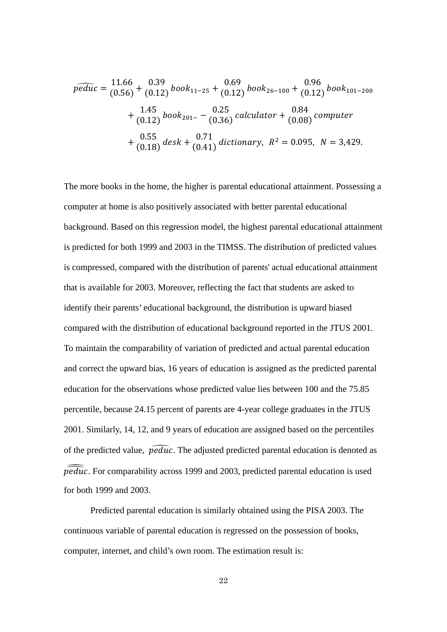$$
\widehat{peduc} = \frac{11.66}{(0.56)} + \frac{0.39}{(0.12)} \text{book}_{11-25} + \frac{0.69}{(0.12)} \text{book}_{26-100} + \frac{0.96}{(0.12)} \text{book}_{101-200} \n+ \frac{1.45}{(0.12)} \text{book}_{201-} - \frac{0.25}{(0.36)} \text{ calculator} + \frac{0.84}{(0.08)} \text{computer} \n+ \frac{0.55}{(0.18)} \text{ desk} + \frac{0.71}{(0.41)} \text{ dictionary}, R^2 = 0.095, N = 3,429.
$$

The more books in the home, the higher is parental educational attainment. Possessing a computer at home is also positively associated with better parental educational background. Based on this regression model, the highest parental educational attainment is predicted for both 1999 and 2003 in the TIMSS. The distribution of predicted values is compressed, compared with the distribution of parents' actual educational attainment that is available for 2003. Moreover, reflecting the fact that students are asked to identify their parents' educational background, the distribution is upward biased compared with the distribution of educational background reported in the JTUS 2001. To maintain the comparability of variation of predicted and actual parental education and correct the upward bias, 16 years of education is assigned as the predicted parental education for the observations whose predicted value lies between 100 and the 75.85 percentile, because 24.15 percent of parents are 4-year college graduates in the JTUS 2001. Similarly, 14, 12, and 9 years of education are assigned based on the percentiles of the predicted value,  $\widehat{peduc}$ . The adjusted predicted parental education is denoted as  $\widehat{peduc}$ . For comparability across 1999 and 2003, predicted parental education is used for both 1999 and 2003.

Predicted parental education is similarly obtained using the PISA 2003. The continuous variable of parental education is regressed on the possession of books, computer, internet, and child's own room. The estimation result is:

22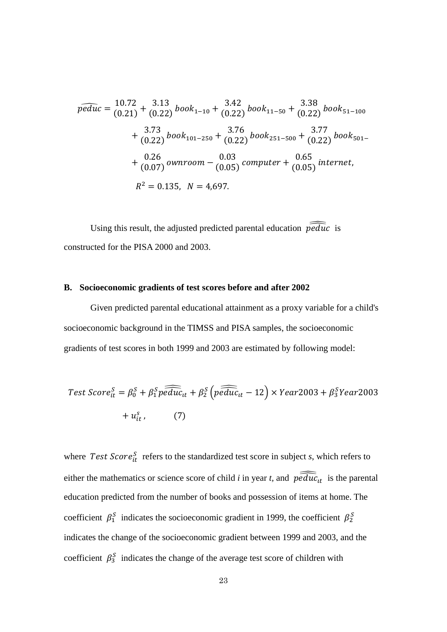$$
\widehat{peduc} = \frac{10.72}{(0.21)} + \frac{3.13}{(0.22)} \text{book}_{1-10} + \frac{3.42}{(0.22)} \text{book}_{11-50} + \frac{3.38}{(0.22)} \text{book}_{51-100} \n+ \frac{3.73}{(0.22)} \text{book}_{101-250} + \frac{3.76}{(0.22)} \text{book}_{251-500} + \frac{3.77}{(0.22)} \text{book}_{501-} \n+ \frac{0.26}{(0.07)} \text{ownroom} - \frac{0.03}{(0.05)} \text{computer} + \frac{0.65}{(0.05)} \text{ internet}, \nR^2 = 0.135, N = 4,697.
$$

Using this result, the adjusted predicted parental education  $\widehat{peduc}$  is constructed for the PISA 2000 and 2003.

#### **B. Socioeconomic gradients of test scores before and after 2002**

Given predicted parental educational attainment as a proxy variable for a child's socioeconomic background in the TIMSS and PISA samples, the socioeconomic gradients of test scores in both 1999 and 2003 are estimated by following model:

Test Score<sub>it</sub><sup>S</sup> = 
$$
\beta_0^S + \beta_1^S \overline{peduc}_{tt} + \beta_2^S \left( \overline{peduc}_{tt} - 12 \right) \times Year2003 + \beta_3^S Year2003
$$
  
+  $u_{it}^S$ , (7)

where Test  $Score_{it}^{S}$  refers to the standardized test score in subject *s*, which refers to either the mathematics or science score of child *i* in year *t*, and  $\widehat{peduc}_{tt}$  is the parental education predicted from the number of books and possession of items at home. The coefficient  $\beta_1^s$  indicates the socioeconomic gradient in 1999, the coefficient  $\beta_2^s$ indicates the change of the socioeconomic gradient between 1999 and 2003, and the coefficient  $\beta_3^s$  indicates the change of the average test score of children with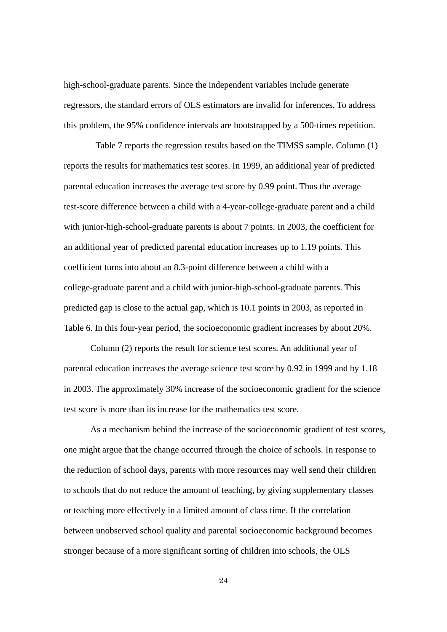high-school-graduate parents. Since the independent variables include generate regressors, the standard errors of OLS estimators are invalid for inferences. To address this problem, the 95% confidence intervals are bootstrapped by a 500-times repetition.

Table 7 reports the regression results based on the TIMSS sample. Column (1) reports the results for mathematics test scores. In 1999, an additional year of predicted parental education increases the average test score by 0.99 point. Thus the average test-score difference between a child with a 4-year-college-graduate parent and a child with junior-high-school-graduate parents is about 7 points. In 2003, the coefficient for an additional year of predicted parental education increases up to 1.19 points. This coefficient turns into about an 8.3-point difference between a child with a college-graduate parent and a child with junior-high-school-graduate parents. This predicted gap is close to the actual gap, which is 10.1 points in 2003, as reported in Table 6. In this four-year period, the socioeconomic gradient increases by about 20%.

Column (2) reports the result for science test scores. An additional year of parental education increases the average science test score by 0.92 in 1999 and by 1.18 in 2003. The approximately 30% increase of the socioeconomic gradient for the science test score is more than its increase for the mathematics test score.

As a mechanism behind the increase of the socioeconomic gradient of test scores, one might argue that the change occurred through the choice of schools. In response to the reduction of school days, parents with more resources may well send their children to schools that do not reduce the amount of teaching, by giving supplementary classes or teaching more effectively in a limited amount of class time. If the correlation between unobserved school quality and parental socioeconomic background becomes stronger because of a more significant sorting of children into schools, the OLS

24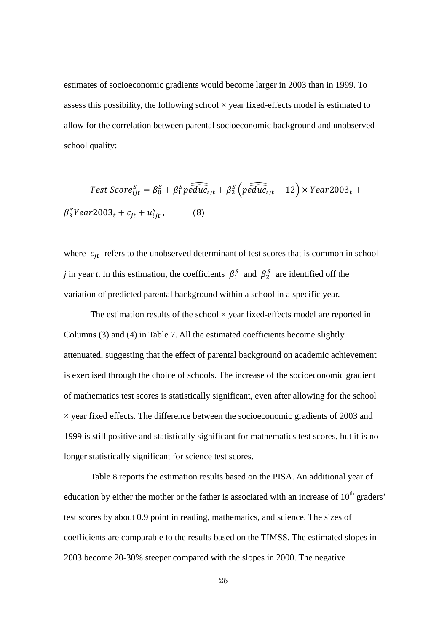estimates of socioeconomic gradients would become larger in 2003 than in 1999. To assess this possibility, the following school  $\times$  year fixed-effects model is estimated to allow for the correlation between parental socioeconomic background and unobserved school quality:

Test Score<sub>ijt</sub><sup>5</sup> = 
$$
\beta_0^S + \beta_1^S p \widehat{educ}_{ijt} + \beta_2^S \left( p \widehat{educ}_{ijt} - 12 \right) \times Year2003_t +
$$
  
 $\beta_3^S Year2003_t + c_{jt} + u_{ijt}^S$ , (8)

where  $c_{it}$  refers to the unobserved determinant of test scores that is common in school *j* in year *t*. In this estimation, the coefficients  $\beta_1^S$  and  $\beta_2^S$  are identified off the variation of predicted parental background within a school in a specific year.

The estimation results of the school  $\times$  year fixed-effects model are reported in Columns (3) and (4) in Table 7. All the estimated coefficients become slightly attenuated, suggesting that the effect of parental background on academic achievement is exercised through the choice of schools. The increase of the socioeconomic gradient of mathematics test scores is statistically significant, even after allowing for the school  $\times$  year fixed effects. The difference between the socioeconomic gradients of 2003 and 1999 is still positive and statistically significant for mathematics test scores, but it is no longer statistically significant for science test scores.

Table 8 reports the estimation results based on the PISA. An additional year of education by either the mother or the father is associated with an increase of  $10<sup>th</sup>$  graders' test scores by about 0.9 point in reading, mathematics, and science. The sizes of coefficients are comparable to the results based on the TIMSS. The estimated slopes in 2003 become 20-30% steeper compared with the slopes in 2000. The negative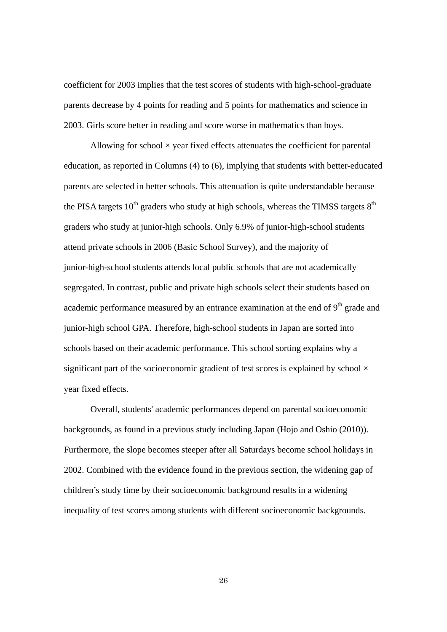coefficient for 2003 implies that the test scores of students with high-school-graduate parents decrease by 4 points for reading and 5 points for mathematics and science in 2003. Girls score better in reading and score worse in mathematics than boys.

Allowing for school  $\times$  year fixed effects attenuates the coefficient for parental education, as reported in Columns (4) to (6), implying that students with better-educated parents are selected in better schools. This attenuation is quite understandable because the PISA targets  $10<sup>th</sup>$  graders who study at high schools, whereas the TIMSS targets  $8<sup>th</sup>$ graders who study at junior-high schools. Only 6.9% of junior-high-school students attend private schools in 2006 (Basic School Survey), and the majority of junior-high-school students attends local public schools that are not academically segregated. In contrast, public and private high schools select their students based on academic performance measured by an entrance examination at the end of  $9<sup>th</sup>$  grade and junior-high school GPA. Therefore, high-school students in Japan are sorted into schools based on their academic performance. This school sorting explains why a significant part of the socioeconomic gradient of test scores is explained by school  $\times$ year fixed effects.

Overall, students' academic performances depend on parental socioeconomic backgrounds, as found in a previous study including Japan (Hojo and Oshio (2010)). Furthermore, the slope becomes steeper after all Saturdays become school holidays in 2002. Combined with the evidence found in the previous section, the widening gap of children's study time by their socioeconomic background results in a widening inequality of test scores among students with different socioeconomic backgrounds.

26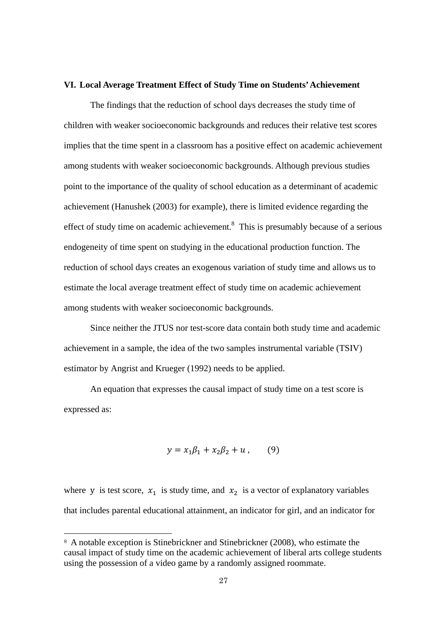#### **VI. Local Average Treatment Effect of Study Time on Students' Achievement**

The findings that the reduction of school days decreases the study time of children with weaker socioeconomic backgrounds and reduces their relative test scores implies that the time spent in a classroom has a positive effect on academic achievement among students with weaker socioeconomic backgrounds. Although previous studies point to the importance of the quality of school education as a determinant of academic achievement (Hanushek (2003) for example), there is limited evidence regarding the effect of study time on academic achievement. $8$  This is presumably because of a serious endogeneity of time spent on studying in the educational production function. The reduction of school days creates an exogenous variation of study time and allows us to estimate the local average treatment effect of study time on academic achievement among students with weaker socioeconomic backgrounds.

Since neither the JTUS nor test-score data contain both study time and academic achievement in a sample, the idea of the two samples instrumental variable (TSIV) estimator by Angrist and Krueger (1992) needs to be applied.

An equation that expresses the causal impact of study time on a test score is expressed as:

$$
y = x_1 \beta_1 + x_2 \beta_2 + u \,, \qquad (9)
$$

where y is test score,  $x_1$  is study time, and  $x_2$  is a vector of explanatory variables that includes parental educational attainment, an indicator for girl, and an indicator for

-

<sup>8</sup> A notable exception is Stinebrickner and Stinebrickner (2008), who estimate the causal impact of study time on the academic achievement of liberal arts college students using the possession of a video game by a randomly assigned roommate.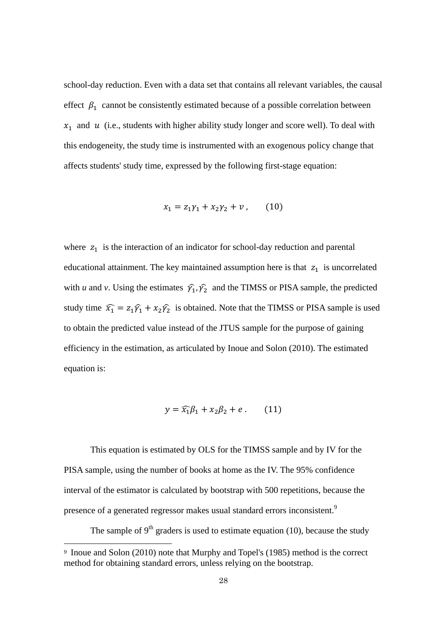school-day reduction. Even with a data set that contains all relevant variables, the causal effect  $\beta_1$  cannot be consistently estimated because of a possible correlation between  $x_1$  and  $u$  (i.e., students with higher ability study longer and score well). To deal with this endogeneity, the study time is instrumented with an exogenous policy change that affects students' study time, expressed by the following first-stage equation:

$$
x_1 = z_1 \gamma_1 + x_2 \gamma_2 + v \,, \qquad (10)
$$

where  $z_1$  is the interaction of an indicator for school-day reduction and parental educational attainment. The key maintained assumption here is that  $z_1$  is uncorrelated with *u* and *v*. Using the estimates  $\hat{\gamma}_1$ ,  $\hat{\gamma}_2$  and the TIMSS or PISA sample, the predicted study time  $\widehat{x_1} = z_1 \widehat{y_1} + x_2 \widehat{y_2}$  is obtained. Note that the TIMSS or PISA sample is used to obtain the predicted value instead of the JTUS sample for the purpose of gaining efficiency in the estimation, as articulated by Inoue and Solon (2010). The estimated equation is:

$$
y = \widehat{x_1}\beta_1 + x_2\beta_2 + e. \qquad (11)
$$

This equation is estimated by OLS for the TIMSS sample and by IV for the PISA sample, using the number of books at home as the IV. The 95% confidence interval of the estimator is calculated by bootstrap with 500 repetitions, because the presence of a generated regressor makes usual standard errors inconsistent.<sup>9</sup>

The sample of  $9<sup>th</sup>$  graders is used to estimate equation (10), because the study

-

<sup>9</sup> Inoue and Solon (2010) note that Murphy and Topel's (1985) method is the correct method for obtaining standard errors, unless relying on the bootstrap.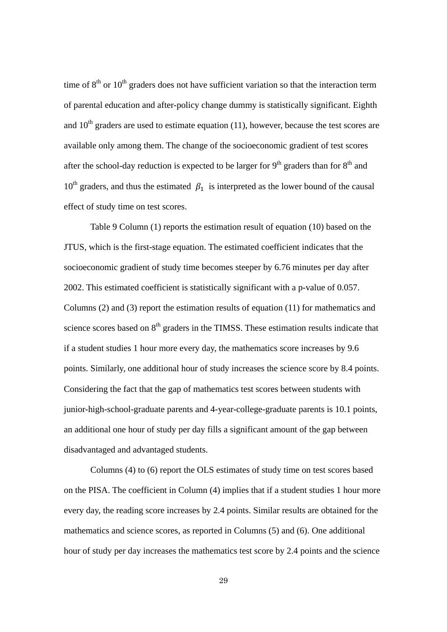time of  $8<sup>th</sup>$  or  $10<sup>th</sup>$  graders does not have sufficient variation so that the interaction term of parental education and after-policy change dummy is statistically significant. Eighth and  $10<sup>th</sup>$  graders are used to estimate equation (11), however, because the test scores are available only among them. The change of the socioeconomic gradient of test scores after the school-day reduction is expected to be larger for  $9<sup>th</sup>$  graders than for  $8<sup>th</sup>$  and  $10^{th}$  graders, and thus the estimated  $\beta_1$  is interpreted as the lower bound of the causal effect of study time on test scores.

Table 9 Column (1) reports the estimation result of equation (10) based on the JTUS, which is the first-stage equation. The estimated coefficient indicates that the socioeconomic gradient of study time becomes steeper by 6.76 minutes per day after 2002. This estimated coefficient is statistically significant with a p-value of 0.057. Columns (2) and (3) report the estimation results of equation (11) for mathematics and science scores based on 8<sup>th</sup> graders in the TIMSS. These estimation results indicate that if a student studies 1 hour more every day, the mathematics score increases by 9.6 points. Similarly, one additional hour of study increases the science score by 8.4 points. Considering the fact that the gap of mathematics test scores between students with junior-high-school-graduate parents and 4-year-college-graduate parents is 10.1 points, an additional one hour of study per day fills a significant amount of the gap between disadvantaged and advantaged students.

Columns (4) to (6) report the OLS estimates of study time on test scores based on the PISA. The coefficient in Column (4) implies that if a student studies 1 hour more every day, the reading score increases by 2.4 points. Similar results are obtained for the mathematics and science scores, as reported in Columns (5) and (6). One additional hour of study per day increases the mathematics test score by 2.4 points and the science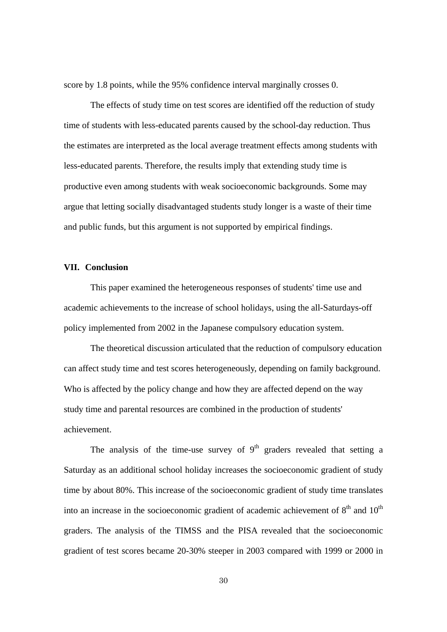score by 1.8 points, while the 95% confidence interval marginally crosses 0.

The effects of study time on test scores are identified off the reduction of study time of students with less-educated parents caused by the school-day reduction. Thus the estimates are interpreted as the local average treatment effects among students with less-educated parents. Therefore, the results imply that extending study time is productive even among students with weak socioeconomic backgrounds. Some may argue that letting socially disadvantaged students study longer is a waste of their time and public funds, but this argument is not supported by empirical findings.

#### **VII. Conclusion**

This paper examined the heterogeneous responses of students' time use and academic achievements to the increase of school holidays, using the all-Saturdays-off policy implemented from 2002 in the Japanese compulsory education system.

The theoretical discussion articulated that the reduction of compulsory education can affect study time and test scores heterogeneously, depending on family background. Who is affected by the policy change and how they are affected depend on the way study time and parental resources are combined in the production of students' achievement.

The analysis of the time-use survey of  $9<sup>th</sup>$  graders revealed that setting a Saturday as an additional school holiday increases the socioeconomic gradient of study time by about 80%. This increase of the socioeconomic gradient of study time translates into an increase in the socioeconomic gradient of academic achievement of  $8<sup>th</sup>$  and  $10<sup>th</sup>$ graders. The analysis of the TIMSS and the PISA revealed that the socioeconomic gradient of test scores became 20-30% steeper in 2003 compared with 1999 or 2000 in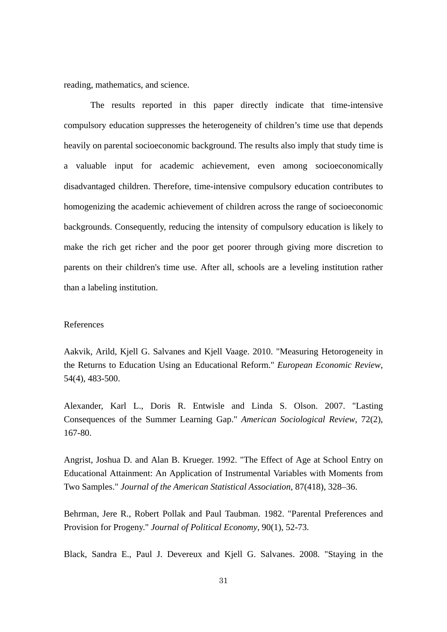reading, mathematics, and science.

The results reported in this paper directly indicate that time-intensive compulsory education suppresses the heterogeneity of children's time use that depends heavily on parental socioeconomic background. The results also imply that study time is a valuable input for academic achievement, even among socioeconomically disadvantaged children. Therefore, time-intensive compulsory education contributes to homogenizing the academic achievement of children across the range of socioeconomic backgrounds. Consequently, reducing the intensity of compulsory education is likely to make the rich get richer and the poor get poorer through giving more discretion to parents on their children's time use. After all, schools are a leveling institution rather than a labeling institution.

#### References

Aakvik, Arild, Kjell G. Salvanes and Kjell Vaage. 2010. "Measuring Hetorogeneity in the Returns to Education Using an Educational Reform." *European Economic Review*, 54(4), 483-500.

Alexander, Karl L., Doris R. Entwisle and Linda S. Olson. 2007. "Lasting Consequences of the Summer Learning Gap." *American Sociological Review*, 72(2), 167-80.

Angrist, Joshua D. and Alan B. Krueger. 1992. "The Effect of Age at School Entry on Educational Attainment: An Application of Instrumental Variables with Moments from Two Samples." *Journal of the American Statistical Association*, 87(418), 328–36.

Behrman, Jere R., Robert Pollak and Paul Taubman. 1982. "Parental Preferences and Provision for Progeny." *Journal of Political Economy*, 90(1), 52-73.

Black, Sandra E., Paul J. Devereux and Kjell G. Salvanes. 2008. "Staying in the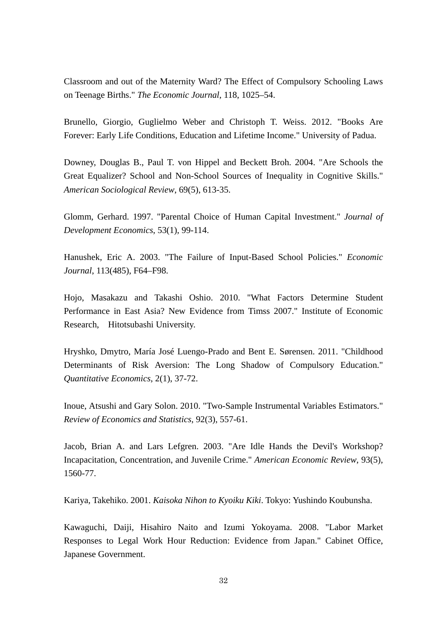Classroom and out of the Maternity Ward? The Effect of Compulsory Schooling Laws on Teenage Births." *The Economic Journal*, 118, 1025–54.

Brunello, Giorgio, Guglielmo Weber and Christoph T. Weiss. 2012. "Books Are Forever: Early Life Conditions, Education and Lifetime Income." University of Padua.

Downey, Douglas B., Paul T. von Hippel and Beckett Broh. 2004. "Are Schools the Great Equalizer? School and Non-School Sources of Inequality in Cognitive Skills." *American Sociological Review*, 69(5), 613-35.

Glomm, Gerhard. 1997. "Parental Choice of Human Capital Investment." *Journal of Development Economics*, 53(1), 99-114.

Hanushek, Eric A. 2003. "The Failure of Input-Based School Policies." *Economic Journal*, 113(485), F64–F98.

Hojo, Masakazu and Takashi Oshio. 2010. "What Factors Determine Student Performance in East Asia? New Evidence from Timss 2007." Institute of Economic Research, Hitotsubashi University.

Hryshko, Dmytro, María José Luengo-Prado and Bent E. Sørensen. 2011. "Childhood Determinants of Risk Aversion: The Long Shadow of Compulsory Education." *Quantitative Economics*, 2(1), 37-72.

Inoue, Atsushi and Gary Solon. 2010. "Two-Sample Instrumental Variables Estimators." *Review of Economics and Statistics*, 92(3), 557-61.

Jacob, Brian A. and Lars Lefgren. 2003. "Are Idle Hands the Devil's Workshop? Incapacitation, Concentration, and Juvenile Crime." *American Economic Review*, 93(5), 1560-77.

Kariya, Takehiko. 2001. *Kaisoka Nihon to Kyoiku Kiki*. Tokyo: Yushindo Koubunsha.

Kawaguchi, Daiji, Hisahiro Naito and Izumi Yokoyama. 2008. "Labor Market Responses to Legal Work Hour Reduction: Evidence from Japan." Cabinet Office, Japanese Government.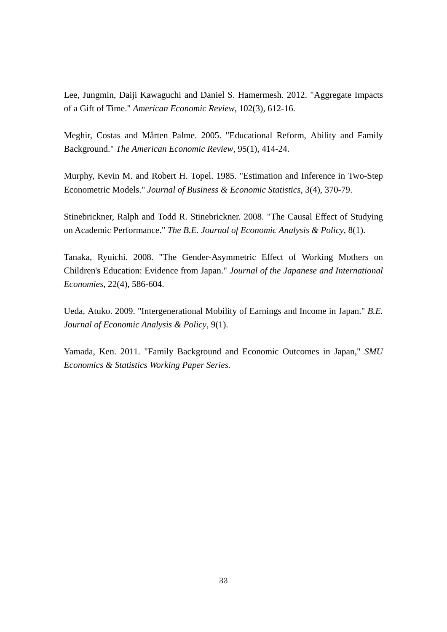Lee, Jungmin, Daiji Kawaguchi and Daniel S. Hamermesh. 2012. "Aggregate Impacts of a Gift of Time." *American Economic Review*, 102(3), 612-16.

Meghir, Costas and Mårten Palme. 2005. "Educational Reform, Ability and Family Background." *The American Economic Review*, 95(1), 414-24.

Murphy, Kevin M. and Robert H. Topel. 1985. "Estimation and Inference in Two-Step Econometric Models." *Journal of Business & Economic Statistics*, 3(4), 370-79.

Stinebrickner, Ralph and Todd R. Stinebrickner. 2008. "The Causal Effect of Studying on Academic Performance." *The B.E. Journal of Economic Analysis & Policy*, 8(1).

Tanaka, Ryuichi. 2008. "The Gender-Asymmetric Effect of Working Mothers on Children's Education: Evidence from Japan." *Journal of the Japanese and International Economies*, 22(4), 586-604.

Ueda, Atuko. 2009. "Intergenerational Mobility of Earnings and Income in Japan." *B.E. Journal of Economic Analysis & Policy*, 9(1).

Yamada, Ken. 2011. "Family Background and Economic Outcomes in Japan," *SMU Economics & Statistics Working Paper Series.*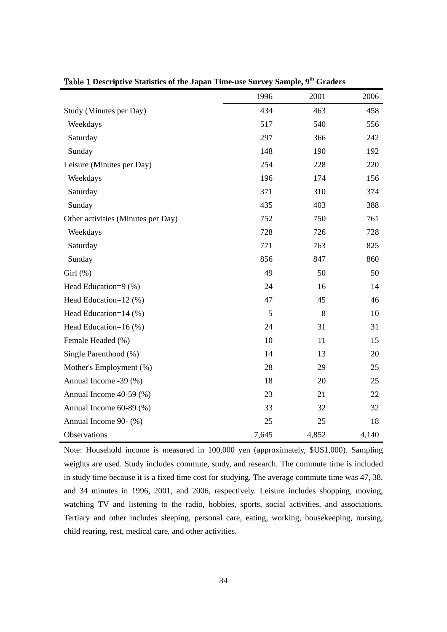|                                    | 1996  | 2001  | 2006  |
|------------------------------------|-------|-------|-------|
| Study (Minutes per Day)            | 434   | 463   | 458   |
| Weekdays                           | 517   | 540   | 556   |
| Saturday                           | 297   | 366   | 242   |
| Sunday                             | 148   | 190   | 192   |
| Leisure (Minutes per Day)          | 254   | 228   | 220   |
| Weekdays                           | 196   | 174   | 156   |
| Saturday                           | 371   | 310   | 374   |
| Sunday                             | 435   | 403   | 388   |
| Other activities (Minutes per Day) | 752   | 750   | 761   |
| Weekdays                           | 728   | 726   | 728   |
| Saturday                           | 771   | 763   | 825   |
| Sunday                             | 856   | 847   | 860   |
| Girl(%)                            | 49    | 50    | 50    |
| Head Education=9 (%)               | 24    | 16    | 14    |
| Head Education=12 (%)              | 47    | 45    | 46    |
| Head Education=14 (%)              | 5     | 8     | 10    |
| Head Education=16 (%)              | 24    | 31    | 31    |
| Female Headed (%)                  | 10    | 11    | 15    |
| Single Parenthood (%)              | 14    | 13    | 20    |
| Mother's Employment (%)            | 28    | 29    | 25    |
| Annual Income -39 (%)              | 18    | 20    | 25    |
| Annual Income 40-59 (%)            | 23    | 21    | 22    |
| Annual Income 60-89 (%)            | 33    | 32    | 32    |
| Annual Income 90- (%)              | 25    | 25    | 18    |
| Observations                       | 7,645 | 4,852 | 4,140 |

Table 1 **Descriptive Statistics of the Japan Time-use Survey Sample, 9th Graders**

Note: Household income is measured in 100,000 yen (approximately, \$US1,000). Sampling weights are used. Study includes commute, study, and research. The commute time is included in study time because it is a fixed time cost for studying. The average commute time was 47, 38, and 34 minutes in 1996, 2001, and 2006, respectively. Leisure includes shopping, moving, watching TV and listening to the radio, hobbies, sports, social activities, and associations. Tertiary and other includes sleeping, personal care, eating, working, housekeeping, nursing, child rearing, rest, medical care, and other activities.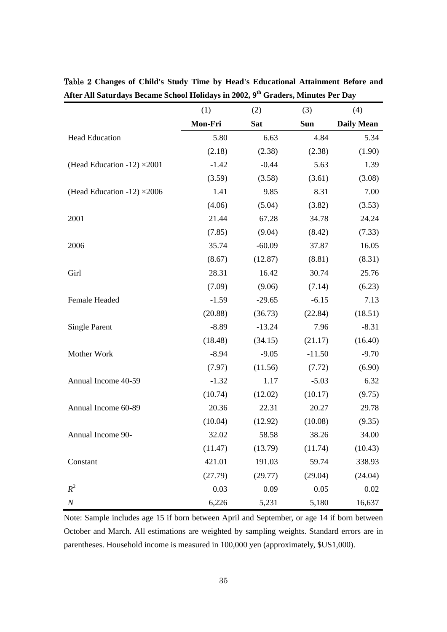|                                    | (1)     | (2)      | (3)      | (4)               |
|------------------------------------|---------|----------|----------|-------------------|
|                                    | Mon-Fri | Sat      | Sun      | <b>Daily Mean</b> |
| <b>Head Education</b>              | 5.80    | 6.63     | 4.84     | 5.34              |
|                                    | (2.18)  | (2.38)   | (2.38)   | (1.90)            |
| (Head Education -12) $\times$ 2001 | $-1.42$ | $-0.44$  | 5.63     | 1.39              |
|                                    | (3.59)  | (3.58)   | (3.61)   | (3.08)            |
| (Head Education -12) $\times 2006$ | 1.41    | 9.85     | 8.31     | 7.00              |
|                                    | (4.06)  | (5.04)   | (3.82)   | (3.53)            |
| 2001                               | 21.44   | 67.28    | 34.78    | 24.24             |
|                                    | (7.85)  | (9.04)   | (8.42)   | (7.33)            |
| 2006                               | 35.74   | $-60.09$ | 37.87    | 16.05             |
|                                    | (8.67)  | (12.87)  | (8.81)   | (8.31)            |
| Girl                               | 28.31   | 16.42    | 30.74    | 25.76             |
|                                    | (7.09)  | (9.06)   | (7.14)   | (6.23)            |
| Female Headed                      | $-1.59$ | $-29.65$ | $-6.15$  | 7.13              |
|                                    | (20.88) | (36.73)  | (22.84)  | (18.51)           |
| <b>Single Parent</b>               | $-8.89$ | $-13.24$ | 7.96     | $-8.31$           |
|                                    | (18.48) | (34.15)  | (21.17)  | (16.40)           |
| Mother Work                        | $-8.94$ | $-9.05$  | $-11.50$ | $-9.70$           |
|                                    | (7.97)  | (11.56)  | (7.72)   | (6.90)            |
| Annual Income 40-59                | $-1.32$ | 1.17     | $-5.03$  | 6.32              |
|                                    | (10.74) | (12.02)  | (10.17)  | (9.75)            |
| Annual Income 60-89                | 20.36   | 22.31    | 20.27    | 29.78             |
|                                    | (10.04) | (12.92)  | (10.08)  | (9.35)            |
| Annual Income 90-                  | 32.02   | 58.58    | 38.26    | 34.00             |
|                                    | (11.47) | (13.79)  | (11.74)  | (10.43)           |
| Constant                           | 421.01  | 191.03   | 59.74    | 338.93            |
|                                    | (27.79) | (29.77)  | (29.04)  | (24.04)           |
| $R^2$                              | 0.03    | 0.09     | 0.05     | 0.02              |
| $\cal N$                           | 6,226   | 5,231    | 5,180    | 16,637            |

Table 2 **Changes of Child's Study Time by Head's Educational Attainment Before and**  After All Saturdays Became School Holidays in 2002, 9<sup>th</sup> Graders, Minutes Per Day

Note: Sample includes age 15 if born between April and September, or age 14 if born between October and March. All estimations are weighted by sampling weights. Standard errors are in parentheses. Household income is measured in 100,000 yen (approximately, \$US1,000).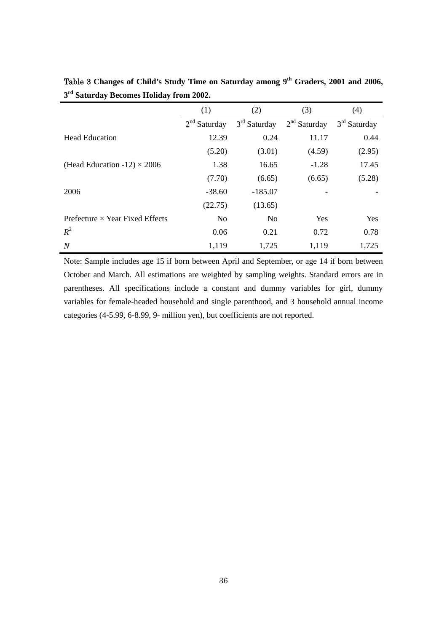|                                        | (1)            | (2)            | (3)            | (4)            |
|----------------------------------------|----------------|----------------|----------------|----------------|
|                                        | $2nd$ Saturday | $3rd$ Saturday | $2nd$ Saturday | $3rd$ Saturday |
| <b>Head Education</b>                  | 12.39          | 0.24           | 11.17          | 0.44           |
|                                        | (5.20)         | (3.01)         | (4.59)         | (2.95)         |
| (Head Education -12) $\times$ 2006     | 1.38           | 16.65          | $-1.28$        | 17.45          |
|                                        | (7.70)         | (6.65)         | (6.65)         | (5.28)         |
| 2006                                   | $-38.60$       | $-185.07$      |                |                |
|                                        | (22.75)        | (13.65)        |                |                |
| Prefecture $\times$ Year Fixed Effects | N <sub>o</sub> | N <sub>o</sub> | Yes            | Yes            |
| $R^2$                                  | 0.06           | 0.21           | 0.72           | 0.78           |
| N                                      | 1,119          | 1,725          | 1,119          | 1,725          |

Table 3 **Changes of Child's Study Time on Saturday among 9th Graders, 2001 and 2006, 3rd Saturday Becomes Holiday from 2002.**

Note: Sample includes age 15 if born between April and September, or age 14 if born between October and March. All estimations are weighted by sampling weights. Standard errors are in parentheses. All specifications include a constant and dummy variables for girl, dummy variables for female-headed household and single parenthood, and 3 household annual income categories (4-5.99, 6-8.99, 9- million yen), but coefficients are not reported.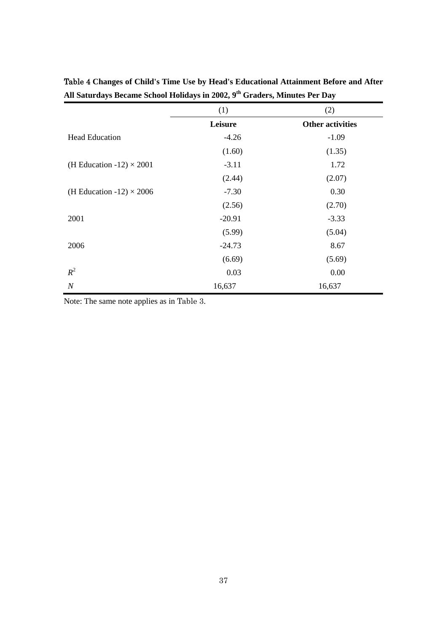|                                 | (1)      | (2)                     |
|---------------------------------|----------|-------------------------|
|                                 | Leisure  | <b>Other activities</b> |
| <b>Head Education</b>           | $-4.26$  | $-1.09$                 |
|                                 | (1.60)   | (1.35)                  |
| (H Education -12) $\times$ 2001 | $-3.11$  | 1.72                    |
|                                 | (2.44)   | (2.07)                  |
| (H Education -12) $\times$ 2006 | $-7.30$  | 0.30                    |
|                                 | (2.56)   | (2.70)                  |
| 2001                            | $-20.91$ | $-3.33$                 |
|                                 | (5.99)   | (5.04)                  |
| 2006                            | $-24.73$ | 8.67                    |
|                                 | (6.69)   | (5.69)                  |
| $R^2$                           | 0.03     | 0.00                    |
| $\cal N$                        | 16,637   | 16,637                  |

| Table 4 Changes of Child's Time Use by Head's Educational Attainment Before and After  |  |
|----------------------------------------------------------------------------------------|--|
| All Saturdays Became School Holidays in 2002, 9 <sup>th</sup> Graders, Minutes Per Day |  |

Note: The same note applies as in Table 3.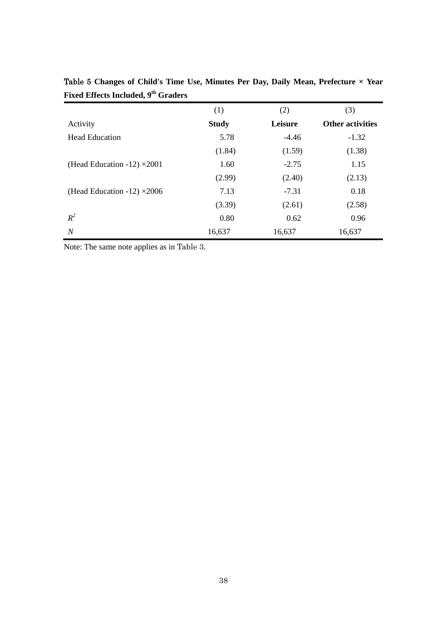|                                    | (1)          | (2)     | (3)                     |
|------------------------------------|--------------|---------|-------------------------|
| Activity                           | <b>Study</b> | Leisure | <b>Other activities</b> |
| <b>Head Education</b>              | 5.78         | $-4.46$ | $-1.32$                 |
|                                    | (1.84)       | (1.59)  | (1.38)                  |
| (Head Education -12) $\times$ 2001 | 1.60         | $-2.75$ | 1.15                    |
|                                    | (2.99)       | (2.40)  | (2.13)                  |
| (Head Education -12) $\times$ 2006 | 7.13         | $-7.31$ | 0.18                    |
|                                    | (3.39)       | (2.61)  | (2.58)                  |
| $R^2$                              | 0.80         | 0.62    | 0.96                    |
| $\boldsymbol{N}$                   | 16,637       | 16,637  | 16,637                  |

Table 5 **Changes of Child's Time Use, Minutes Per Day, Daily Mean, Prefecture × Year**  Fixed Effects Included, 9<sup>th</sup> Graders

Note: The same note applies as in Table 3.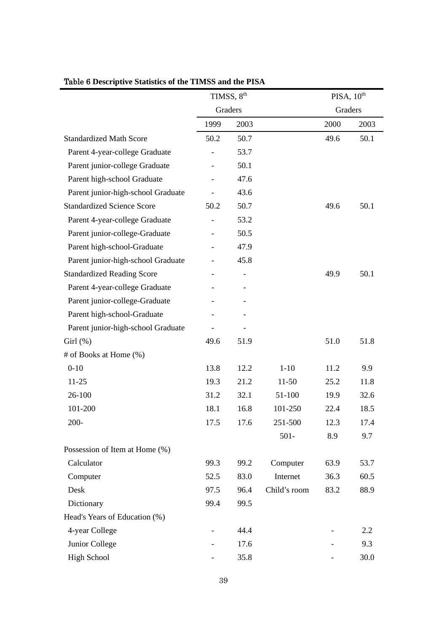|                                    |         | TIMSS, 8 <sup>th</sup> |              | PISA, 10 <sup>th</sup> |      |
|------------------------------------|---------|------------------------|--------------|------------------------|------|
|                                    | Graders |                        |              | Graders                |      |
|                                    | 1999    | 2003                   |              | 2000                   | 2003 |
| <b>Standardized Math Score</b>     | 50.2    | 50.7                   |              | 49.6                   | 50.1 |
| Parent 4-year-college Graduate     |         | 53.7                   |              |                        |      |
| Parent junior-college Graduate     |         | 50.1                   |              |                        |      |
| Parent high-school Graduate        |         | 47.6                   |              |                        |      |
| Parent junior-high-school Graduate |         | 43.6                   |              |                        |      |
| <b>Standardized Science Score</b>  | 50.2    | 50.7                   |              | 49.6                   | 50.1 |
| Parent 4-year-college Graduate     |         | 53.2                   |              |                        |      |
| Parent junior-college-Graduate     |         | 50.5                   |              |                        |      |
| Parent high-school-Graduate        |         | 47.9                   |              |                        |      |
| Parent junior-high-school Graduate |         | 45.8                   |              |                        |      |
| <b>Standardized Reading Score</b>  |         |                        |              | 49.9                   | 50.1 |
| Parent 4-year-college Graduate     |         |                        |              |                        |      |
| Parent junior-college-Graduate     |         |                        |              |                        |      |
| Parent high-school-Graduate        |         |                        |              |                        |      |
| Parent junior-high-school Graduate |         |                        |              |                        |      |
| Girl(%)                            | 49.6    | 51.9                   |              | 51.0                   | 51.8 |
| # of Books at Home (%)             |         |                        |              |                        |      |
| $0 - 10$                           | 13.8    | 12.2                   | $1 - 10$     | 11.2                   | 9.9  |
| $11 - 25$                          | 19.3    | 21.2                   | $11 - 50$    | 25.2                   | 11.8 |
| 26-100                             | 31.2    | 32.1                   | 51-100       | 19.9                   | 32.6 |
| 101-200                            | 18.1    | 16.8                   | 101-250      | 22.4                   | 18.5 |
| 200-                               | 17.5    | 17.6                   | 251-500      | 12.3                   | 17.4 |
|                                    |         |                        | $501 -$      | 8.9                    | 9.7  |
| Possession of Item at Home (%)     |         |                        |              |                        |      |
| Calculator                         | 99.3    | 99.2                   | Computer     | 63.9                   | 53.7 |
| Computer                           | 52.5    | 83.0                   | Internet     | 36.3                   | 60.5 |
| Desk                               | 97.5    | 96.4                   | Child's room | 83.2                   | 88.9 |
| Dictionary                         | 99.4    | 99.5                   |              |                        |      |
| Head's Years of Education (%)      |         |                        |              |                        |      |
| 4-year College                     |         | 44.4                   |              |                        | 2.2  |
| Junior College                     |         | 17.6                   |              |                        | 9.3  |
| <b>High School</b>                 |         | 35.8                   |              |                        | 30.0 |

### Table 6 **Descriptive Statistics of the TIMSS and the PISA**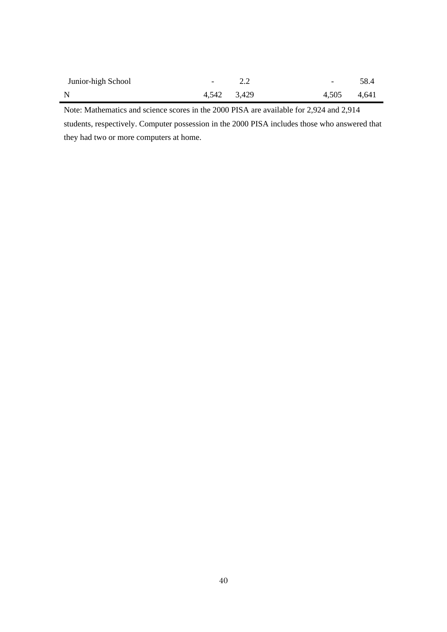| Junior-high School | $-2.2$      | $-58.4$     |  |
|--------------------|-------------|-------------|--|
| $\mathbf N$        | 4,542 3,429 | 4,505 4,641 |  |

Note: Mathematics and science scores in the 2000 PISA are available for 2,924 and 2,914 students, respectively. Computer possession in the 2000 PISA includes those who answered that they had two or more computers at home.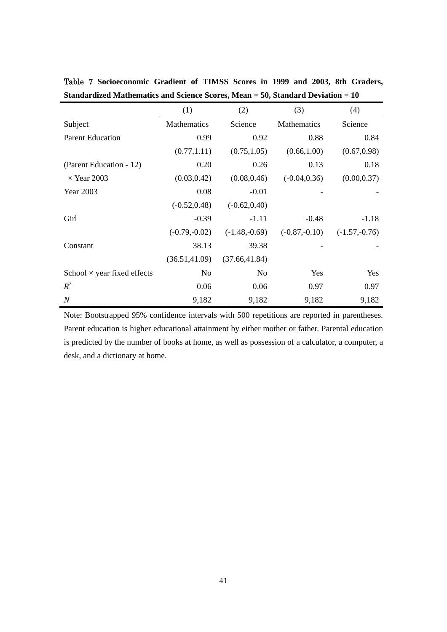|                                    | (1)             | (2)             | (3)             | (4)             |
|------------------------------------|-----------------|-----------------|-----------------|-----------------|
| Subject                            | Mathematics     | Science         | Mathematics     | Science         |
| <b>Parent Education</b>            | 0.99            | 0.92            | 0.88            | 0.84            |
|                                    | (0.77, 1.11)    | (0.75, 1.05)    | (0.66, 1.00)    | (0.67, 0.98)    |
| (Parent Education - 12)            | 0.20            | 0.26            | 0.13            | 0.18            |
| $\times$ Year 2003                 | (0.03, 0.42)    | (0.08, 0.46)    | $(-0.04, 0.36)$ | (0.00, 0.37)    |
| Year 2003                          | 0.08            | $-0.01$         |                 |                 |
|                                    | $(-0.52, 0.48)$ | $(-0.62, 0.40)$ |                 |                 |
| Girl                               | $-0.39$         | $-1.11$         | $-0.48$         | $-1.18$         |
|                                    | $(-0.79,-0.02)$ | $(-1.48,-0.69)$ | $(-0.87,-0.10)$ | $(-1.57,-0.76)$ |
| Constant                           | 38.13           | 39.38           |                 |                 |
|                                    | (36.51, 41.09)  | (37.66, 41.84)  |                 |                 |
| School $\times$ year fixed effects | No              | N <sub>0</sub>  | Yes             | Yes             |
| $R^2$                              | 0.06            | 0.06            | 0.97            | 0.97            |
| $\boldsymbol{N}$                   | 9,182           | 9,182           | 9,182           | 9,182           |

Table 7 **Socioeconomic Gradient of TIMSS Scores in 1999 and 2003, 8th Graders, Standardized Mathematics and Science Scores, Mean = 50, Standard Deviation = 10**

Note: Bootstrapped 95% confidence intervals with 500 repetitions are reported in parentheses. Parent education is higher educational attainment by either mother or father. Parental education is predicted by the number of books at home, as well as possession of a calculator, a computer, a desk, and a dictionary at home.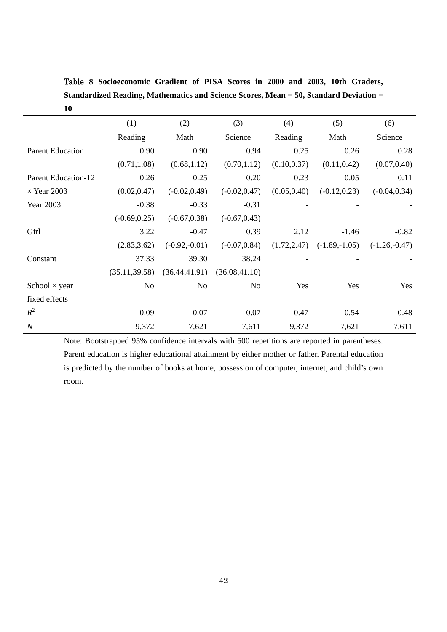Table 8 **Socioeconomic Gradient of PISA Scores in 2000 and 2003, 10th Graders, Standardized Reading, Mathematics and Science Scores, Mean = 50, Standard Deviation = 10**

|                            | (1)             | (2)             | (3)                               | (4)          | (5)             | (6)             |
|----------------------------|-----------------|-----------------|-----------------------------------|--------------|-----------------|-----------------|
|                            | Reading         | Math            | Science                           | Reading      | Math            | Science         |
| <b>Parent Education</b>    | 0.90            | 0.90            | 0.94                              | 0.25         | 0.26            | 0.28            |
|                            | (0.71, 1.08)    | (0.68, 1.12)    | (0.70, 1.12)                      | (0.10, 0.37) | (0.11, 0.42)    | (0.07, 0.40)    |
| <b>Parent Education-12</b> | 0.26            | 0.25            | 0.20                              | 0.23         | 0.05            | 0.11            |
| $\times$ Year 2003         | (0.02, 0.47)    | $(-0.02, 0.49)$ | $(-0.02, 0.47)$                   | (0.05, 0.40) | $(-0.12, 0.23)$ | $(-0.04, 0.34)$ |
| Year 2003                  | $-0.38$         | $-0.33$         | $-0.31$                           |              |                 |                 |
|                            | $(-0.69, 0.25)$ | $(-0.67, 0.38)$ | $(-0.67, 0.43)$                   |              |                 |                 |
| Girl                       | 3.22            | $-0.47$         | 0.39                              | 2.12         | $-1.46$         | $-0.82$         |
|                            | (2.83, 3.62)    | $(-0.92,-0.01)$ | $(-0.07, 0.84)$                   | (1.72, 2.47) | $(-1.89,-1.05)$ | $(-1.26,-0.47)$ |
| Constant                   | 37.33           | 39.30           | 38.24                             |              |                 |                 |
|                            | (35.11, 39.58)  |                 | $(36.44, 41.91)$ $(36.08, 41.10)$ |              |                 |                 |
| School $\times$ year       | No              | N <sub>o</sub>  | N <sub>o</sub>                    | Yes          | Yes             | Yes             |
| fixed effects              |                 |                 |                                   |              |                 |                 |
| $R^2$                      | 0.09            | 0.07            | 0.07                              | 0.47         | 0.54            | 0.48            |
| $\boldsymbol{N}$           | 9,372           | 7,621           | 7,611                             | 9,372        | 7,621           | 7,611           |

Note: Bootstrapped 95% confidence intervals with 500 repetitions are reported in parentheses. Parent education is higher educational attainment by either mother or father. Parental education is predicted by the number of books at home, possession of computer, internet, and child's own room.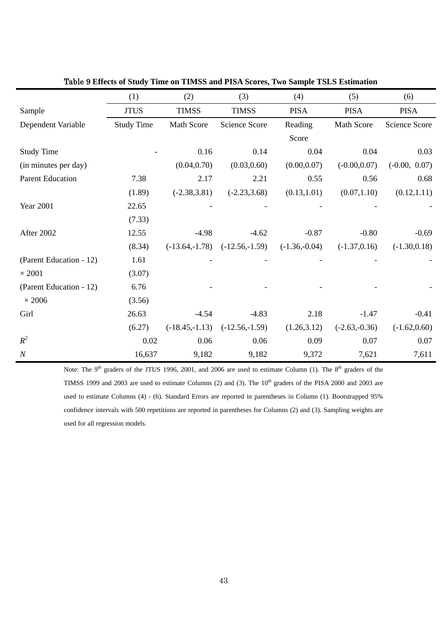|                         | (1)               | (2)              | (3)                  | (4)             | (5)             | (6)                  |
|-------------------------|-------------------|------------------|----------------------|-----------------|-----------------|----------------------|
| Sample                  | <b>JTUS</b>       | <b>TIMSS</b>     | <b>TIMSS</b>         | <b>PISA</b>     | <b>PISA</b>     | <b>PISA</b>          |
| Dependent Variable      | <b>Study Time</b> | Math Score       | <b>Science Score</b> | Reading         | Math Score      | <b>Science Score</b> |
|                         |                   |                  |                      | Score           |                 |                      |
| <b>Study Time</b>       |                   | 0.16             | 0.14                 | 0.04            | 0.04            | 0.03                 |
| (in minutes per day)    |                   | (0.04, 0.70)     | (0.03, 0.60)         | (0.00, 0.07)    | $(-0.00, 0.07)$ | $(-0.00, 0.07)$      |
| <b>Parent Education</b> | 7.38              | 2.17             | 2.21                 | 0.55            | 0.56            | 0.68                 |
|                         | (1.89)            | $(-2.38, 3.81)$  | $(-2.23, 3.68)$      | (0.13, 1.01)    | (0.07, 1.10)    | (0.12, 1.11)         |
| <b>Year 2001</b>        | 22.65             |                  |                      |                 |                 |                      |
|                         | (7.33)            |                  |                      |                 |                 |                      |
| After 2002              | 12.55             | $-4.98$          | $-4.62$              | $-0.87$         | $-0.80$         | $-0.69$              |
|                         | (8.34)            | $(-13.64,-1.78)$ | $(-12.56,-1.59)$     | $(-1.36,-0.04)$ | $(-1.37, 0.16)$ | $(-1.30, 0.18)$      |
| (Parent Education - 12) | 1.61              |                  |                      |                 |                 |                      |
| $\times$ 2001           | (3.07)            |                  |                      |                 |                 |                      |
| (Parent Education - 12) | 6.76              |                  |                      |                 |                 |                      |
| $\times\,2006$          | (3.56)            |                  |                      |                 |                 |                      |
| Girl                    | 26.63             | $-4.54$          | $-4.83$              | 2.18            | $-1.47$         | $-0.41$              |
|                         | (6.27)            | $(-18.45,-1.13)$ | $(-12.56,-1.59)$     | (1.26, 3.12)    | $(-2.63,-0.36)$ | $(-1.62, 0.60)$      |
| $R^2$                   | 0.02              | 0.06             | 0.06                 | 0.09            | 0.07            | 0.07                 |
| $\boldsymbol{N}$        | 16,637            | 9,182            | 9,182                | 9,372           | 7,621           | 7,611                |

Table 9 **Effects of Study Time on TIMSS and PISA Scores, Two Sample TSLS Estimation**

Note: The 9<sup>th</sup> graders of the JTUS 1996, 2001, and 2006 are used to estimate Column (1). The 8<sup>th</sup> graders of the TIMSS 1999 and 2003 are used to estimate Columns (2) and (3). The 10<sup>th</sup> graders of the PISA 2000 and 2003 are used to estimate Columns (4) - (6). Standard Errors are reported in parentheses in Column (1). Bootstrapped 95% confidence intervals with 500 repetitions are reported in parentheses for Columns (2) and (3). Sampling weights are used for all regression models.